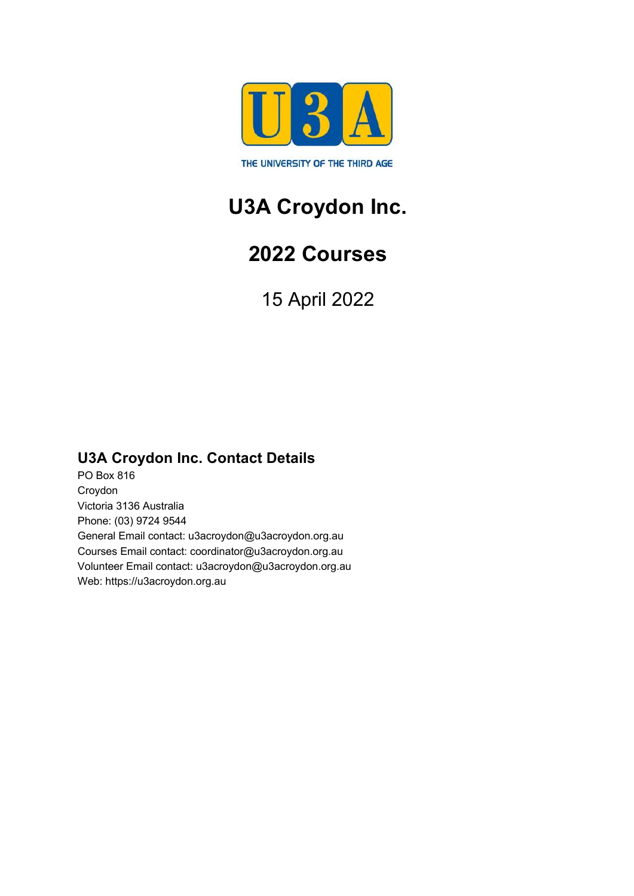

# **U3A Croydon Inc.**

# **2022 Courses**

15 April 2022

# **U3A Croydon Inc. Contact Details**

PO Box 816 Croydon Victoria 3136 Australia Phone: (03) 9724 9544 General Email contact: u3acroydon@u3acroydon.org.au Courses Email contact: coordinator@u3acroydon.org.au Volunteer Email contact: u3acroydon@u3acroydon.org.au Web: https://u3acroydon.org.au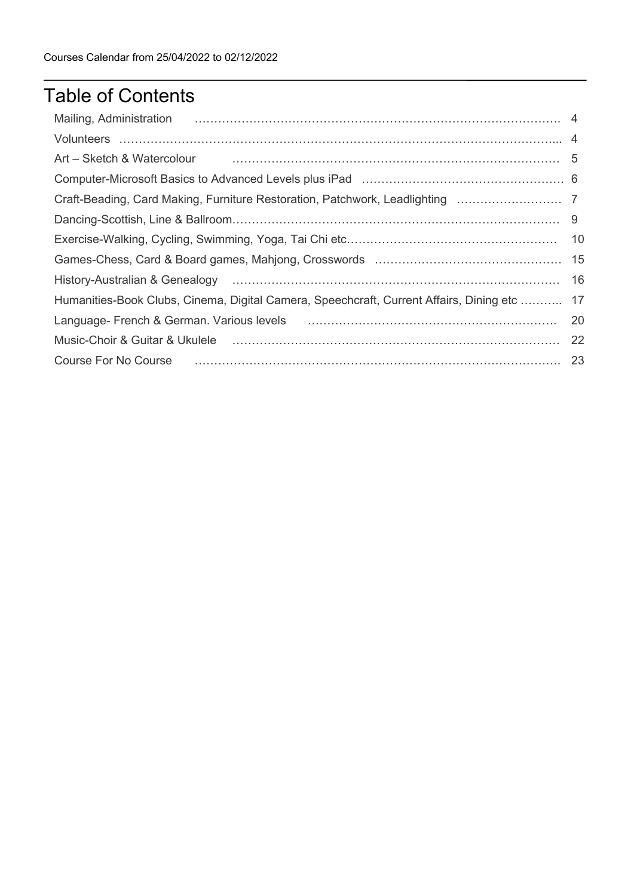# Table of Contents

| Mailing, Administration 2006. The Communication of the Mailing, Administration 2006. The Mailing, Administration                                                                                                               |     |
|--------------------------------------------------------------------------------------------------------------------------------------------------------------------------------------------------------------------------------|-----|
|                                                                                                                                                                                                                                |     |
| Art – Sketch & Watercolour material contracts and the state of the state of the state of the state of the state of the state of the state of the state of the state of the state of the state of the state of the state of the |     |
|                                                                                                                                                                                                                                |     |
| Craft-Beading, Card Making, Furniture Restoration, Patchwork, Leadlighting                                                                                                                                                     |     |
|                                                                                                                                                                                                                                |     |
|                                                                                                                                                                                                                                |     |
|                                                                                                                                                                                                                                |     |
| History-Australian & Genealogy (and according contract and according contract and according of the History-Australian & Genealogy                                                                                              | 16  |
| Humanities-Book Clubs, Cinema, Digital Camera, Speechcraft, Current Affairs, Dining etc  17                                                                                                                                    |     |
| Language-French & German. Various levels [10] Manuscritt Manuscritt Manuscritt Manuscritt Manuscritt Manuscrit                                                                                                                 | -20 |
| Music-Choir & Guitar & Ukulele (and according to the control of the control of the control of the control of t                                                                                                                 |     |
|                                                                                                                                                                                                                                |     |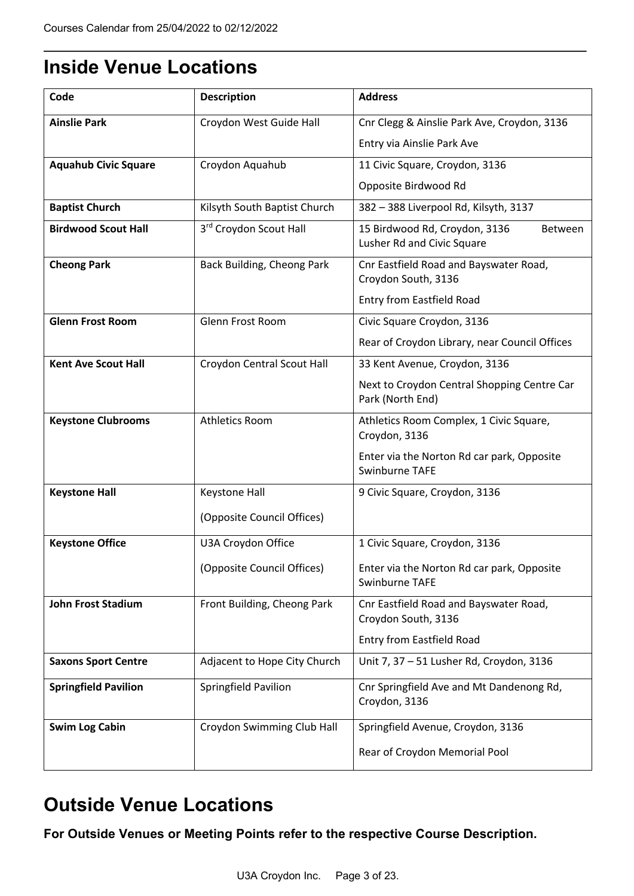# **Inside Venue Locations**

| Code                        | <b>Description</b>           | <b>Address</b>                                                                |  |
|-----------------------------|------------------------------|-------------------------------------------------------------------------------|--|
| <b>Ainslie Park</b>         | Croydon West Guide Hall      | Cnr Clegg & Ainslie Park Ave, Croydon, 3136                                   |  |
|                             |                              | Entry via Ainslie Park Ave                                                    |  |
| <b>Aquahub Civic Square</b> | Croydon Aquahub              | 11 Civic Square, Croydon, 3136                                                |  |
|                             |                              | Opposite Birdwood Rd                                                          |  |
| <b>Baptist Church</b>       | Kilsyth South Baptist Church | 382 - 388 Liverpool Rd, Kilsyth, 3137                                         |  |
| <b>Birdwood Scout Hall</b>  | 3rd Croydon Scout Hall       | 15 Birdwood Rd, Croydon, 3136<br><b>Between</b><br>Lusher Rd and Civic Square |  |
| <b>Cheong Park</b>          | Back Building, Cheong Park   | Cnr Eastfield Road and Bayswater Road,<br>Croydon South, 3136                 |  |
|                             |                              | Entry from Eastfield Road                                                     |  |
| <b>Glenn Frost Room</b>     | <b>Glenn Frost Room</b>      | Civic Square Croydon, 3136                                                    |  |
|                             |                              | Rear of Croydon Library, near Council Offices                                 |  |
| <b>Kent Ave Scout Hall</b>  | Croydon Central Scout Hall   | 33 Kent Avenue, Croydon, 3136                                                 |  |
|                             |                              | Next to Croydon Central Shopping Centre Car<br>Park (North End)               |  |
| <b>Keystone Clubrooms</b>   | <b>Athletics Room</b>        | Athletics Room Complex, 1 Civic Square,<br>Croydon, 3136                      |  |
|                             |                              | Enter via the Norton Rd car park, Opposite<br>Swinburne TAFE                  |  |
| <b>Keystone Hall</b>        | Keystone Hall                | 9 Civic Square, Croydon, 3136                                                 |  |
|                             | (Opposite Council Offices)   |                                                                               |  |
| <b>Keystone Office</b>      | U3A Croydon Office           | 1 Civic Square, Croydon, 3136                                                 |  |
|                             | (Opposite Council Offices)   | Enter via the Norton Rd car park, Opposite<br>Swinburne TAFE                  |  |
| <b>John Frost Stadium</b>   | Front Building, Cheong Park  | Cnr Eastfield Road and Bayswater Road,<br>Croydon South, 3136                 |  |
|                             |                              | Entry from Eastfield Road                                                     |  |
| <b>Saxons Sport Centre</b>  | Adjacent to Hope City Church | Unit 7, 37 - 51 Lusher Rd, Croydon, 3136                                      |  |
| <b>Springfield Pavilion</b> | Springfield Pavilion         | Cnr Springfield Ave and Mt Dandenong Rd,<br>Croydon, 3136                     |  |
| <b>Swim Log Cabin</b>       | Croydon Swimming Club Hall   | Springfield Avenue, Croydon, 3136                                             |  |
|                             |                              | Rear of Croydon Memorial Pool                                                 |  |

# **Outside Venue Locations**

**For Outside Venues or Meeting Points refer to the respective Course Description.**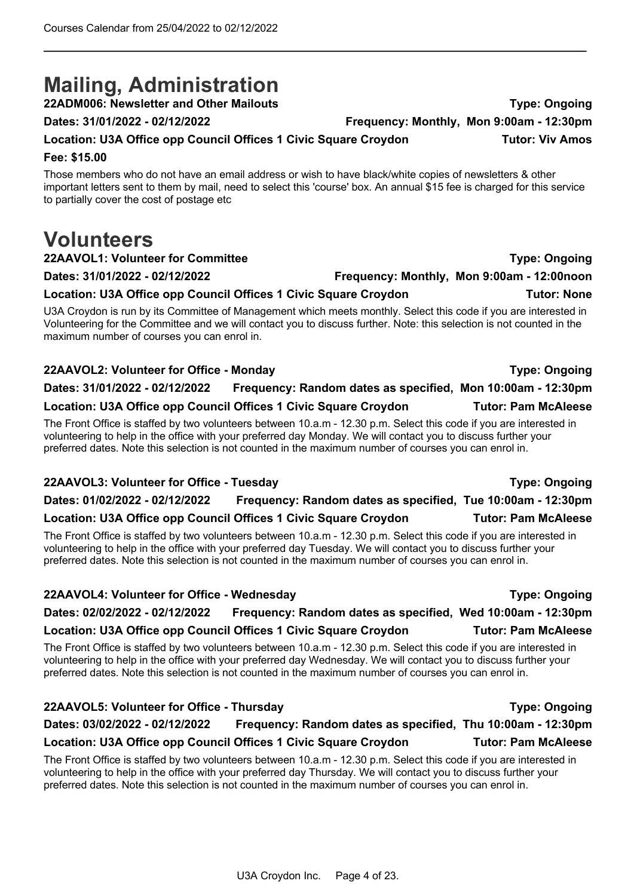# **Mailing, Administration**

**22ADM006: Newsletter and Other Mailouts Type: Ongoing**

#### **Dates: 31/01/2022 - 02/12/2022 Frequency: Monthly, Mon 9:00am - 12:30pm**

**Fee: \$15.00** Those members who do not have an email address or wish to have black/white copies of newsletters & other

important letters sent to them by mail, need to select this 'course' box. An annual \$15 fee is charged for this service to partially cover the cost of postage etc

**Location: U3A Office opp Council Offices 1 Civic Square Croydon Tutor: Viv Amos**

# **Volunteers**

### **22AAVOL1: Volunteer for Committee Type: Ongoing**

**Dates: 31/01/2022 - 02/12/2022 Frequency: Monthly, Mon 9:00am - 12:00noon**

### Location: U3A Office opp Council Offices 1 Civic Square Croydon **Tutor: None**

U3A Croydon is run by its Committee of Management which meets monthly. Select this code if you are interested in Volunteering for the Committee and we will contact you to discuss further. Note: this selection is not counted in the maximum number of courses you can enrol in.

### **22AAVOL2: Volunteer for Office - Monday Type: Ongoing Dates: 31/01/2022 - 02/12/2022 Frequency: Random dates as specified, Mon 10:00am - 12:30pm Location: U3A Office opp Council Offices 1 Civic Square Croydon Tutor: Pam McAleese**

The Front Office is staffed by two volunteers between 10.a.m - 12.30 p.m. Select this code if you are interested in volunteering to help in the office with your preferred day Monday. We will contact you to discuss further your preferred dates. Note this selection is not counted in the maximum number of courses you can enrol in.

### **22AAVOL3: Volunteer for Office - Tuesday Type: Ongoing**

# **Dates: 01/02/2022 - 02/12/2022 Frequency: Random dates as specified, Tue 10:00am - 12:30pm**

### **Location: U3A Office opp Council Offices 1 Civic Square Croydon Tutor: Pam McAleese**

The Front Office is staffed by two volunteers between 10.a.m - 12.30 p.m. Select this code if you are interested in volunteering to help in the office with your preferred day Tuesday. We will contact you to discuss further your preferred dates. Note this selection is not counted in the maximum number of courses you can enrol in.

#### **22AAVOL4: Volunteer for Office - Wednesday Type: Ongoing**

## **Dates: 02/02/2022 - 02/12/2022 Frequency: Random dates as specified, Wed 10:00am - 12:30pm**

# **Location: U3A Office opp Council Offices 1 Civic Square Croydon Tutor: Pam McAleese**

The Front Office is staffed by two volunteers between 10.a.m - 12.30 p.m. Select this code if you are interested in volunteering to help in the office with your preferred day Wednesday. We will contact you to discuss further your preferred dates. Note this selection is not counted in the maximum number of courses you can enrol in.

# **22AAVOL5: Volunteer for Office - Thursday Type: Ongoing**

# **Dates: 03/02/2022 - 02/12/2022 Frequency: Random dates as specified, Thu 10:00am - 12:30pm**

## **Location: U3A Office opp Council Offices 1 Civic Square Croydon Tutor: Pam McAleese**

The Front Office is staffed by two volunteers between 10.a.m - 12.30 p.m. Select this code if you are interested in volunteering to help in the office with your preferred day Thursday. We will contact you to discuss further your preferred dates. Note this selection is not counted in the maximum number of courses you can enrol in.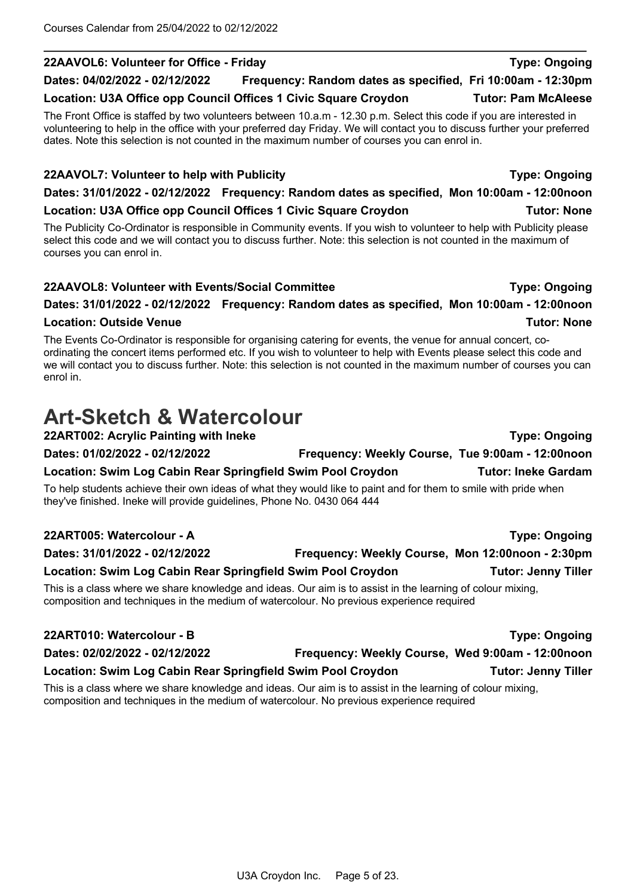#### **22AAVOL6: Volunteer for Office - Friday Type: Ongoing Dates: 04/02/2022 - 02/12/2022 Frequency: Random dates as specified, Fri 10:00am - 12:30pm**

# Location: U3A Office opp Council Offices 1 Civic Square Croydon **Tutor: Pam McAleese**

The Front Office is staffed by two volunteers between 10.a.m - 12.30 p.m. Select this code if you are interested in volunteering to help in the office with your preferred day Friday. We will contact you to discuss further your preferred dates. Note this selection is not counted in the maximum number of courses you can enrol in.

#### **22AAVOL7: Volunteer to help with Publicity Type: Ongoing**

**Dates: 31/01/2022 - 02/12/2022 Frequency: Random dates as specified, Mon 10:00am - 12:00noon**

### Location: U3A Office opp Council Offices 1 Civic Square Croydon **Tutor: None**

The Publicity Co-Ordinator is responsible in Community events. If you wish to volunteer to help with Publicity please select this code and we will contact you to discuss further. Note: this selection is not counted in the maximum of courses you can enrol in.

### **22AAVOL8: Volunteer with Events/Social Committee Type: Ongoing**

## **Dates: 31/01/2022 - 02/12/2022 Frequency: Random dates as specified, Mon 10:00am - 12:00noon**

#### **Location: Outside Venue Tutor: None**

The Events Co-Ordinator is responsible for organising catering for events, the venue for annual concert, coordinating the concert items performed etc. If you wish to volunteer to help with Events please select this code and we will contact you to discuss further. Note: this selection is not counted in the maximum number of courses you can enrol in.

# **Art-Sketch & Watercolour**

**22ART002: Acrylic Painting with Ineke Type: Ongoing Dates: 01/02/2022 - 02/12/2022 Frequency: Weekly Course, Tue 9:00am - 12:00noon Location: Swim Log Cabin Rear Springfield Swim Pool Croydon Tutor: Ineke Gardam** To help students achieve their own ideas of what they would like to paint and for them to smile with pride when they've finished. Ineke will provide guidelines, Phone No. 0430 064 444

#### **22ART005: Watercolour - A Type: Ongoing**

| Dates: 31/01/2022 - 02/12/2022                                                                            | Frequency: Weekly Course, Mon 12:00noon - 2:30pm |                            |
|-----------------------------------------------------------------------------------------------------------|--------------------------------------------------|----------------------------|
| Location: Swim Log Cabin Rear Springfield Swim Pool Croydon                                               |                                                  | <b>Tutor: Jenny Tiller</b> |
| This is a class where we share knowledge and ideas. Our aim is to assist in the learning of colour mixing |                                                  |                            |

share knowledge and ideas. Our aim is to assist in the learning of colour mixing, composition and techniques in the medium of watercolour. No previous experience required

| 22ART010: Watercolour - B                                   |                                                  | <b>Type: Ongoing</b>       |
|-------------------------------------------------------------|--------------------------------------------------|----------------------------|
| Dates: 02/02/2022 - 02/12/2022                              | Frequency: Weekly Course, Wed 9:00am - 12:00noon |                            |
| Location: Swim Log Cabin Rear Springfield Swim Pool Croydon |                                                  | <b>Tutor: Jenny Tiller</b> |

This is a class where we share knowledge and ideas. Our aim is to assist in the learning of colour mixing, composition and techniques in the medium of watercolour. No previous experience required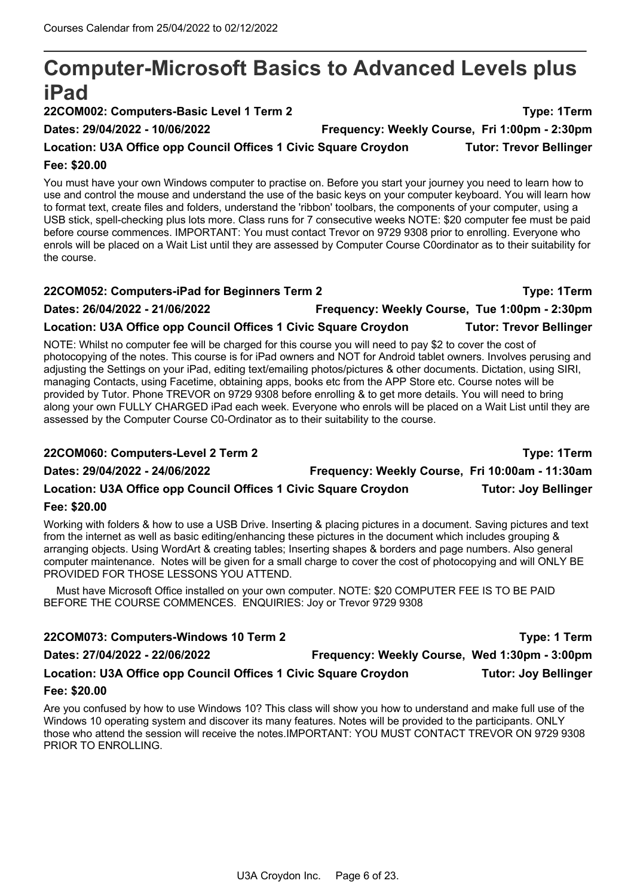# **Computer-Microsoft Basics to Advanced Levels plus iPad**

**22COM002: Computers-Basic Level 1 Term 2 Type: 1Term**

**Dates: 29/04/2022 - 10/06/2022 Frequency: Weekly Course, Fri 1:00pm - 2:30pm**

# Location: U3A Office opp Council Offices 1 Civic Square Croydon **Tutor: Trevor Bellinger**

#### **Fee: \$20.00**

You must have your own Windows computer to practise on. Before you start your journey you need to learn how to use and control the mouse and understand the use of the basic keys on your computer keyboard. You will learn how to format text, create files and folders, understand the 'ribbon' toolbars, the components of your computer, using a USB stick, spell-checking plus lots more. Class runs for 7 consecutive weeks NOTE: \$20 computer fee must be paid before course commences. IMPORTANT: You must contact Trevor on 9729 9308 prior to enrolling. Everyone who enrols will be placed on a Wait List until they are assessed by Computer Course C0ordinator as to their suitability for the course.

| 22COM052: Computers-iPad for Beginners Term 2                   |                                               | Type: 1Term                    |
|-----------------------------------------------------------------|-----------------------------------------------|--------------------------------|
| Dates: 26/04/2022 - 21/06/2022                                  | Frequency: Weekly Course, Tue 1:00pm - 2:30pm |                                |
| Location: U3A Office opp Council Offices 1 Civic Square Croydon |                                               | <b>Tutor: Trevor Bellinger</b> |

NOTE: Whilst no computer fee will be charged for this course you will need to pay \$2 to cover the cost of photocopying of the notes. This course is for iPad owners and NOT for Android tablet owners. Involves perusing and adjusting the Settings on your iPad, editing text/emailing photos/pictures & other documents. Dictation, using SIRI, managing Contacts, using Facetime, obtaining apps, books etc from the APP Store etc. Course notes will be provided by Tutor. Phone TREVOR on 9729 9308 before enrolling & to get more details. You will need to bring along your own FULLY CHARGED iPad each week. Everyone who enrols will be placed on a Wait List until they are assessed by the Computer Course C0-Ordinator as to their suitability to the course.

| 22COM060: Computers-Level 2 Term 2                              |                                                 | <b>Type: 1Term</b>          |
|-----------------------------------------------------------------|-------------------------------------------------|-----------------------------|
| Dates: 29/04/2022 - 24/06/2022                                  | Frequency: Weekly Course, Fri 10:00am - 11:30am |                             |
| Location: U3A Office opp Council Offices 1 Civic Square Croydon |                                                 | <b>Tutor: Joy Bellinger</b> |
| $F = A \wedge A \wedge A$                                       |                                                 |                             |

#### **Fee: \$20.00**

Working with folders & how to use a USB Drive. Inserting & placing pictures in a document. Saving pictures and text from the internet as well as basic editing/enhancing these pictures in the document which includes grouping & arranging objects. Using WordArt & creating tables; Inserting shapes & borders and page numbers. Also general computer maintenance. Notes will be given for a small charge to cover the cost of photocopying and will ONLY BE PROVIDED FOR THOSE LESSONS YOU ATTEND.

Must have Microsoft Office installed on your own computer. NOTE: \$20 COMPUTER FEE IS TO BE PAID BEFORE THE COURSE COMMENCES. ENQUIRIES: Joy or Trevor 9729 9308

| 22COM073: Computers-Windows 10 Term 2                           |                                               | Type: 1 Term                |
|-----------------------------------------------------------------|-----------------------------------------------|-----------------------------|
| Dates: 27/04/2022 - 22/06/2022                                  | Frequency: Weekly Course, Wed 1:30pm - 3:00pm |                             |
| Location: U3A Office opp Council Offices 1 Civic Square Croydon |                                               | <b>Tutor: Joy Bellinger</b> |
| Fee: \$20.00                                                    |                                               |                             |

Are you confused by how to use Windows 10? This class will show you how to understand and make full use of the Windows 10 operating system and discover its many features. Notes will be provided to the participants. ONLY those who attend the session will receive the notes.IMPORTANT: YOU MUST CONTACT TREVOR ON 9729 9308 PRIOR TO ENROLLING.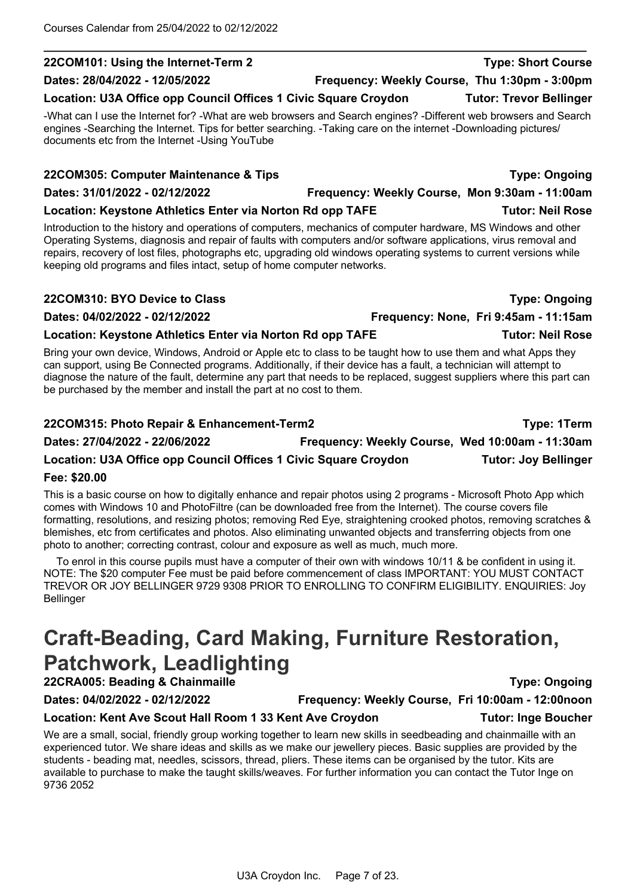# **Dates: 28/04/2022 - 12/05/2022 Frequency: Weekly Course, Thu 1:30pm - 3:00pm**

## Location: U3A Office opp Council Offices 1 Civic Square Croydon **Tutor: Trevor Bellinger**

-What can I use the Internet for? -What are web browsers and Search engines? -Different web browsers and Search engines -Searching the Internet. Tips for better searching. -Taking care on the internet -Downloading pictures/ documents etc from the Internet -Using YouTube

**22COM101: Using the Internet-Term 2 Type: Short Course**

## **22COM305: Computer Maintenance & Tips Type: Ongoing Dates: 31/01/2022 - 02/12/2022 Frequency: Weekly Course, Mon 9:30am - 11:00am**

## **Location: Keystone Athletics Enter via Norton Rd opp TAFE Tutor: Neil Rose**

Introduction to the history and operations of computers, mechanics of computer hardware, MS Windows and other Operating Systems, diagnosis and repair of faults with computers and/or software applications, virus removal and repairs, recovery of lost files, photographs etc, upgrading old windows operating systems to current versions while keeping old programs and files intact, setup of home computer networks.

## **22COM310: BYO Device to Class Type: Ongoing**

**Dates: 04/02/2022 - 02/12/2022 Frequency: None, Fri 9:45am - 11:15am**

## **Location: Keystone Athletics Enter via Norton Rd opp TAFE Tutor: Neil Rose**

Bring your own device, Windows, Android or Apple etc to class to be taught how to use them and what Apps they can support, using Be Connected programs. Additionally, if their device has a fault, a technician will attempt to diagnose the nature of the fault, determine any part that needs to be replaced, suggest suppliers where this part can be purchased by the member and install the part at no cost to them.

# **22COM315: Photo Repair & Enhancement-Term2 Type: 1Term Dates: 27/04/2022 - 22/06/2022 Frequency: Weekly Course, Wed 10:00am - 11:30am**

# **Location: U3A Office opp Council Offices 1 Civic Square Croydon Tutor: Joy Bellinger**

## **Fee: \$20.00**

This is a basic course on how to digitally enhance and repair photos using 2 programs - Microsoft Photo App which comes with Windows 10 and PhotoFiltre (can be downloaded free from the Internet). The course covers file formatting, resolutions, and resizing photos; removing Red Eye, straightening crooked photos, removing scratches & blemishes, etc from certificates and photos. Also eliminating unwanted objects and transferring objects from one photo to another; correcting contrast, colour and exposure as well as much, much more.

To enrol in this course pupils must have a computer of their own with windows 10/11 & be confident in using it. NOTE: The \$20 computer Fee must be paid before commencement of class IMPORTANT: YOU MUST CONTACT TREVOR OR JOY BELLINGER 9729 9308 PRIOR TO ENROLLING TO CONFIRM ELIGIBILITY. ENQUIRIES: Joy Bellinger

# **Craft-Beading, Card Making, Furniture Restoration, Patchwork, Leadlighting**

# **22CRA005: Beading & Chainmaille Type: Ongoing**

#### We are a small, social, friendly group working together to learn new skills in seedbeading and chainmaille with an experienced tutor. We share ideas and skills as we make our jewellery pieces. Basic supplies are provided by the students - beading mat, needles, scissors, thread, pliers. These items can be organised by the tutor. Kits are available to purchase to make the taught skills/weaves. For further information you can contact the Tutor Inge on 9736 2052

**Dates: 04/02/2022 - 02/12/2022 Frequency: Weekly Course, Fri 10:00am - 12:00noon**

**Location: Kent Ave Scout Hall Room 1 33 Kent Ave Croydon Tutor: Inge Boucher**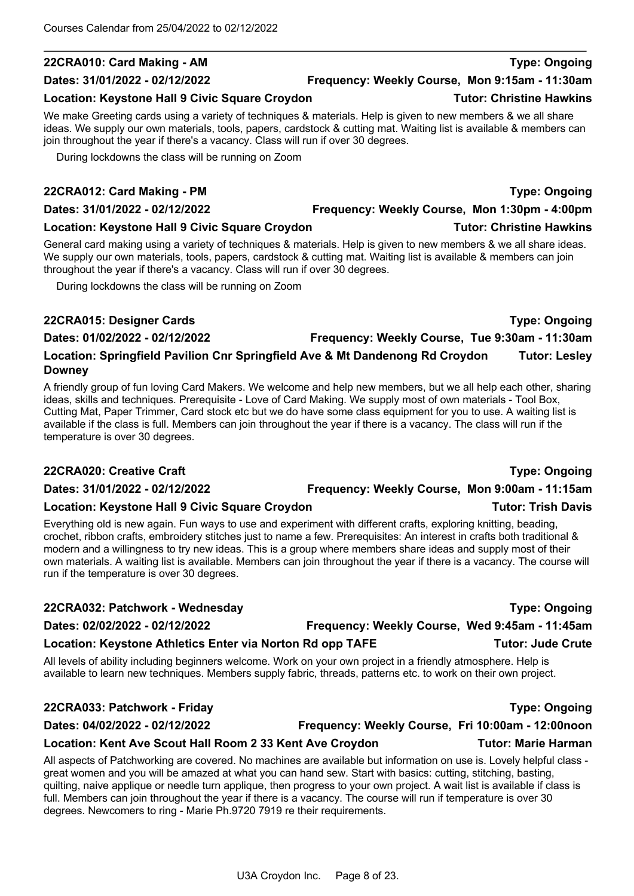# **22CRA010: Card Making - AM Type: Ongoing**

#### **Dates: 31/01/2022 - 02/12/2022 Frequency: Weekly Course, Mon 9:15am - 11:30am**

### Location: Keystone Hall 9 Civic Square Croydon **Tutor: Christine Hawkins**

We make Greeting cards using a variety of techniques & materials. Help is given to new members & we all share ideas. We supply our own materials, tools, papers, cardstock & cutting mat. Waiting list is available & members can join throughout the year if there's a vacancy. Class will run if over 30 degrees.

During lockdowns the class will be running on Zoom

## **22CRA012: Card Making - PM Type: Ongoing**

### **Location: Keystone Hall 9 Civic Square Croydon Tutor: Christine Hawkins**

General card making using a variety of techniques & materials. Help is given to new members & we all share ideas. We supply our own materials, tools, papers, cardstock & cutting mat. Waiting list is available & members can join throughout the year if there's a vacancy. Class will run if over 30 degrees.

During lockdowns the class will be running on Zoom

## **22CRA015: Designer Cards Type: Ongoing**

**Dates: 01/02/2022 - 02/12/2022 Frequency: Weekly Course, Tue 9:30am - 11:30am**

**Downey** A friendly group of fun loving Card Makers. We welcome and help new members, but we all help each other, sharing ideas, skills and techniques. Prerequisite - Love of Card Making. We supply most of own materials - Tool Box,

**Location: Springfield Pavilion Cnr Springfield Ave & Mt Dandenong Rd Croydon Tutor: Lesley** 

Cutting Mat, Paper Trimmer, Card stock etc but we do have some class equipment for you to use. A waiting list is available if the class is full. Members can join throughout the year if there is a vacancy. The class will run if the temperature is over 30 degrees.

## **22CRA020: Creative Craft Type: Ongoing**

**Dates: 31/01/2022 - 02/12/2022 Frequency: Weekly Course, Mon 9:00am - 11:15am**

### **Location: Keystone Hall 9 Civic Square Croydon Tutor: Trish Davis**

Everything old is new again. Fun ways to use and experiment with different crafts, exploring knitting, beading, crochet, ribbon crafts, embroidery stitches just to name a few. Prerequisites: An interest in crafts both traditional & modern and a willingness to try new ideas. This is a group where members share ideas and supply most of their own materials. A waiting list is available. Members can join throughout the year if there is a vacancy. The course will run if the temperature is over 30 degrees.

### **22CRA032: Patchwork - Wednesday Type: Ongoing**

# **Dates: 02/02/2022 - 02/12/2022 Frequency: Weekly Course, Wed 9:45am - 11:45am** Location: Keystone Athletics Enter via Norton Rd opp TAFE **Tutor: Jude Crute**

All levels of ability including beginners welcome. Work on your own project in a friendly atmosphere. Help is available to learn new techniques. Members supply fabric, threads, patterns etc. to work on their own project.

# **22CRA033: Patchwork - Friday Type: Ongoing**

**Dates: 04/02/2022 - 02/12/2022 Frequency: Weekly Course, Fri 10:00am - 12:00noon**

### All aspects of Patchworking are covered. No machines are available but information on use is. Lovely helpful class great women and you will be amazed at what you can hand sew. Start with basics: cutting, stitching, basting, quilting, naive applique or needle turn applique, then progress to your own project. A wait list is available if class is

**Location: Kent Ave Scout Hall Room 2 33 Kent Ave Croydon Tutor: Marie Harman**

full. Members can join throughout the year if there is a vacancy. The course will run if temperature is over 30 degrees. Newcomers to ring - Marie Ph.9720 7919 re their requirements.

**Dates: 31/01/2022 - 02/12/2022 Frequency: Weekly Course, Mon 1:30pm - 4:00pm**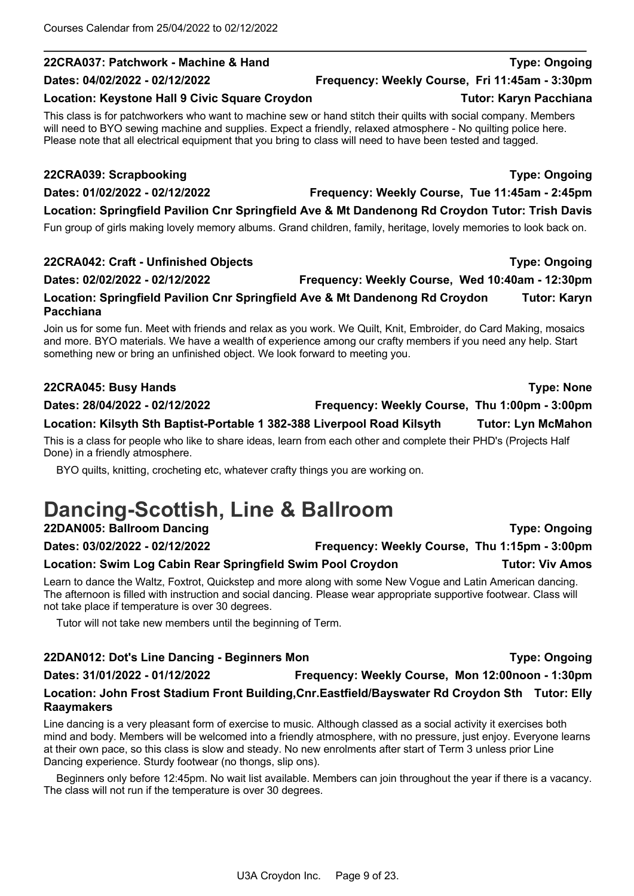## **22CRA037: Patchwork - Machine & Hand Type: Ongoing**

### Location: Keystone Hall 9 Civic Square Croydon **Tutor: Karyn Pacchiana**

This class is for patchworkers who want to machine sew or hand stitch their quilts with social company. Members will need to BYO sewing machine and supplies. Expect a friendly, relaxed atmosphere - No quilting police here. Please note that all electrical equipment that you bring to class will need to have been tested and tagged.

## **22CRA039: Scrapbooking Type: Ongoing**

**Dates: 01/02/2022 - 02/12/2022 Frequency: Weekly Course, Tue 11:45am - 2:45pm**

# **Location: Springfield Pavilion Cnr Springfield Ave & Mt Dandenong Rd Croydon Tutor: Trish Davis**

Fun group of girls making lovely memory albums. Grand children, family, heritage, lovely memories to look back on.

# **22CRA042: Craft - Unfinished Objects Type: Ongoing**

#### **Dates: 02/02/2022 - 02/12/2022 Frequency: Weekly Course, Wed 10:40am - 12:30pm Location: Springfield Pavilion Cnr Springfield Ave & Mt Dandenong Rd Croydon Tutor: Karyn**

**Pacchiana** Join us for some fun. Meet with friends and relax as you work. We Quilt, Knit, Embroider, do Card Making, mosaics and more. BYO materials. We have a wealth of experience among our crafty members if you need any help. Start something new or bring an unfinished object. We look forward to meeting you.

# **22CRA045: Busy Hands Type: None**

**Dates: 28/04/2022 - 02/12/2022 Frequency: Weekly Course, Thu 1:00pm - 3:00pm**

# **Location: Kilsyth Sth Baptist-Portable 1 382-388 Liverpool Road Kilsyth Tutor: Lyn McMahon**

This is a class for people who like to share ideas, learn from each other and complete their PHD's (Projects Half Done) in a friendly atmosphere.

BYO quilts, knitting, crocheting etc, whatever crafty things you are working on.

# **Dancing-Scottish, Line & Ballroom 22DAN005: Ballroom Dancing Type: Ongoing**

# **Dates: 03/02/2022 - 02/12/2022 Frequency: Weekly Course, Thu 1:15pm - 3:00pm**

Location: Swim Log Cabin Rear Springfield Swim Pool Croydon **Tutor: Viv Amos** 

Learn to dance the Waltz, Foxtrot, Quickstep and more along with some New Vogue and Latin American dancing. The afternoon is filled with instruction and social dancing. Please wear appropriate supportive footwear. Class will not take place if temperature is over 30 degrees.

Tutor will not take new members until the beginning of Term.

## **22DAN012: Dot's Line Dancing - Beginners Mon Type: Ongoing**

**Dates: 31/01/2022 - 01/12/2022 Frequency: Weekly Course, Mon 12:00noon - 1:30pm Location: John Frost Stadium Front Building,Cnr.Eastfield/Bayswater Rd Croydon Sth Tutor: Elly Raaymakers**

Line dancing is a very pleasant form of exercise to music. Although classed as a social activity it exercises both mind and body. Members will be welcomed into a friendly atmosphere, with no pressure, just enjoy. Everyone learns at their own pace, so this class is slow and steady. No new enrolments after start of Term 3 unless prior Line Dancing experience. Sturdy footwear (no thongs, slip ons).

Beginners only before 12:45pm. No wait list available. Members can join throughout the year if there is a vacancy. The class will not run if the temperature is over 30 degrees.

**Dates: 04/02/2022 - 02/12/2022 Frequency: Weekly Course, Fri 11:45am - 3:30pm**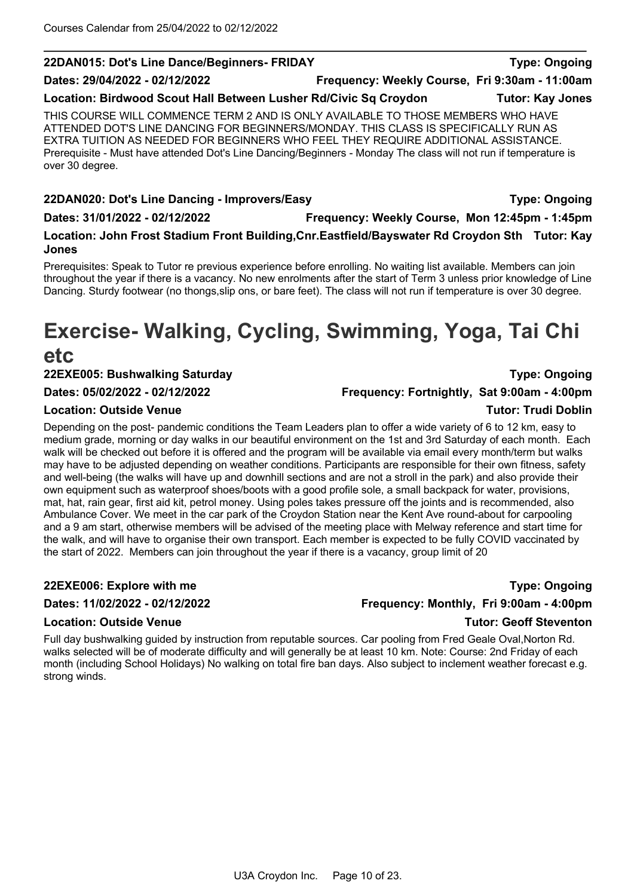### **22DAN015: Dot's Line Dance/Beginners- FRIDAY Type: Ongoing**

**Dates: 29/04/2022 - 02/12/2022 Frequency: Weekly Course, Fri 9:30am - 11:00am**

**Location: Birdwood Scout Hall Between Lusher Rd/Civic Sq Croydon Tutor: Kay Jones**

THIS COURSE WILL COMMENCE TERM 2 AND IS ONLY AVAILABLE TO THOSE MEMBERS WHO HAVE ATTENDED DOT'S LINE DANCING FOR BEGINNERS/MONDAY. THIS CLASS IS SPECIFICALLY RUN AS EXTRA TUITION AS NEEDED FOR BEGINNERS WHO FEEL THEY REQUIRE ADDITIONAL ASSISTANCE. Prerequisite - Must have attended Dot's Line Dancing/Beginners - Monday The class will not run if temperature is over 30 degree.

**22DAN020: Dot's Line Dancing - Improvers/Easy Type: Ongoing Dates: 31/01/2022 - 02/12/2022 Frequency: Weekly Course, Mon 12:45pm - 1:45pm Location: John Frost Stadium Front Building,Cnr.Eastfield/Bayswater Rd Croydon Sth Tutor: Kay Jones**

Prerequisites: Speak to Tutor re previous experience before enrolling. No waiting list available. Members can join throughout the year if there is a vacancy. No new enrolments after the start of Term 3 unless prior knowledge of Line Dancing. Sturdy footwear (no thongs, slip ons, or bare feet). The class will not run if temperature is over 30 degree.

# **Exercise- Walking, Cycling, Swimming, Yoga, Tai Chi**

# **etc**

**22EXE005: Bushwalking Saturday Type: Ongoing**

#### **Location: Outside Venue Tutor: Trudi Doblin**

Depending on the post- pandemic conditions the Team Leaders plan to offer a wide variety of 6 to 12 km, easy to medium grade, morning or day walks in our beautiful environment on the 1st and 3rd Saturday of each month. Each walk will be checked out before it is offered and the program will be available via email every month/term but walks may have to be adjusted depending on weather conditions. Participants are responsible for their own fitness, safety and well-being (the walks will have up and downhill sections and are not a stroll in the park) and also provide their own equipment such as waterproof shoes/boots with a good profile sole, a small backpack for water, provisions, mat, hat, rain gear, first aid kit, petrol money. Using poles takes pressure off the joints and is recommended, also Ambulance Cover. We meet in the car park of the Croydon Station near the Kent Ave round-about for carpooling and a 9 am start, otherwise members will be advised of the meeting place with Melway reference and start time for the walk, and will have to organise their own transport. Each member is expected to be fully COVID vaccinated by the start of 2022. Members can join throughout the year if there is a vacancy, group limit of 20

#### **Location: Outside Venue Tutor: Geoff Steventon**

Full day bushwalking guided by instruction from reputable sources. Car pooling from Fred Geale Oval,Norton Rd. walks selected will be of moderate difficulty and will generally be at least 10 km. Note: Course: 2nd Friday of each month (including School Holidays) No walking on total fire ban days. Also subject to inclement weather forecast e.g. strong winds.

U3A Croydon Inc. Page 10 of 23.

**22EXE006: Explore with me Type: Ongoing Dates: 11/02/2022 - 02/12/2022 Frequency: Monthly, Fri 9:00am - 4:00pm**

**Dates: 05/02/2022 - 02/12/2022 Frequency: Fortnightly, Sat 9:00am - 4:00pm**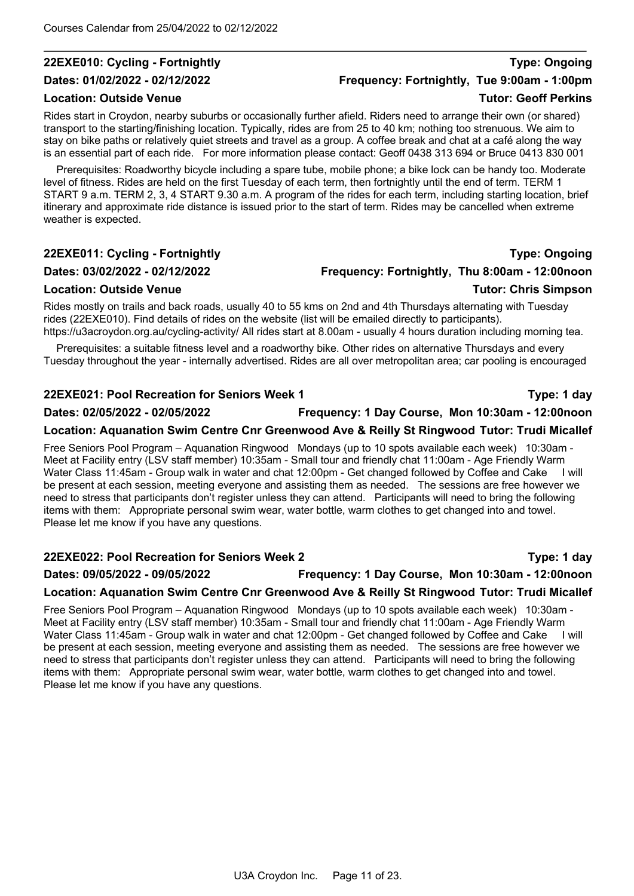### **22EXE010: Cycling - Fortnightly Type: Ongoing**

#### **Location: Outside Venue Tutor: Geoff Perkins**

Rides start in Croydon, nearby suburbs or occasionally further afield. Riders need to arrange their own (or shared) transport to the starting/finishing location. Typically, rides are from 25 to 40 km; nothing too strenuous. We aim to stay on bike paths or relatively quiet streets and travel as a group. A coffee break and chat at a café along the way is an essential part of each ride. For more information please contact: Geoff 0438 313 694 or Bruce 0413 830 001

Prerequisites: Roadworthy bicycle including a spare tube, mobile phone; a bike lock can be handy too. Moderate level of fitness. Rides are held on the first Tuesday of each term, then fortnightly until the end of term. TERM 1 START 9 a.m. TERM 2, 3, 4 START 9.30 a.m. A program of the rides for each term, including starting location, brief itinerary and approximate ride distance is issued prior to the start of term. Rides may be cancelled when extreme weather is expected.

#### **22EXE011: Cycling - Fortnightly Type: Ongoing**

#### **Dates: 03/02/2022 - 02/12/2022 Frequency: Fortnightly, Thu 8:00am - 12:00noon**

Rides mostly on trails and back roads, usually 40 to 55 kms on 2nd and 4th Thursdays alternating with Tuesday rides (22EXE010). Find details of rides on the website (list will be emailed directly to participants). https://u3acroydon.org.au/cycling-activity/ All rides start at 8.00am - usually 4 hours duration including morning tea.

Prerequisites: a suitable fitness level and a roadworthy bike. Other rides on alternative Thursdays and every Tuesday throughout the year - internally advertised. Rides are all over metropolitan area; car pooling is encouraged

#### **22EXE021: Pool Recreation for Seniors Week 1 Type: 1 day**

**Dates: 02/05/2022 - 02/05/2022 Frequency: 1 Day Course, Mon 10:30am - 12:00noon**

#### **Location: Aquanation Swim Centre Cnr Greenwood Ave & Reilly St Ringwood Tutor: Trudi Micallef**

Free Seniors Pool Program – Aquanation Ringwood Mondays (up to 10 spots available each week) 10:30am - Meet at Facility entry (LSV staff member) 10:35am - Small tour and friendly chat 11:00am - Age Friendly Warm Water Class 11:45am - Group walk in water and chat 12:00pm - Get changed followed by Coffee and Cake I will be present at each session, meeting everyone and assisting them as needed. The sessions are free however we need to stress that participants don't register unless they can attend. Participants will need to bring the following items with them: Appropriate personal swim wear, water bottle, warm clothes to get changed into and towel. Please let me know if you have any questions.

### **22EXE022: Pool Recreation for Seniors Week 2 Type: 1 day Dates: 09/05/2022 - 09/05/2022 Frequency: 1 Day Course, Mon 10:30am - 12:00noon**

# **Location: Aquanation Swim Centre Cnr Greenwood Ave & Reilly St Ringwood Tutor: Trudi Micallef**

Free Seniors Pool Program – Aquanation Ringwood Mondays (up to 10 spots available each week) 10:30am - Meet at Facility entry (LSV staff member) 10:35am - Small tour and friendly chat 11:00am - Age Friendly Warm Water Class 11:45am - Group walk in water and chat 12:00pm - Get changed followed by Coffee and Cake I will be present at each session, meeting everyone and assisting them as needed. The sessions are free however we need to stress that participants don't register unless they can attend. Participants will need to bring the following items with them: Appropriate personal swim wear, water bottle, warm clothes to get changed into and towel. Please let me know if you have any questions.

**Dates: 01/02/2022 - 02/12/2022 Frequency: Fortnightly, Tue 9:00am - 1:00pm**

**Location: Outside Venue Tutor: Chris Simpson**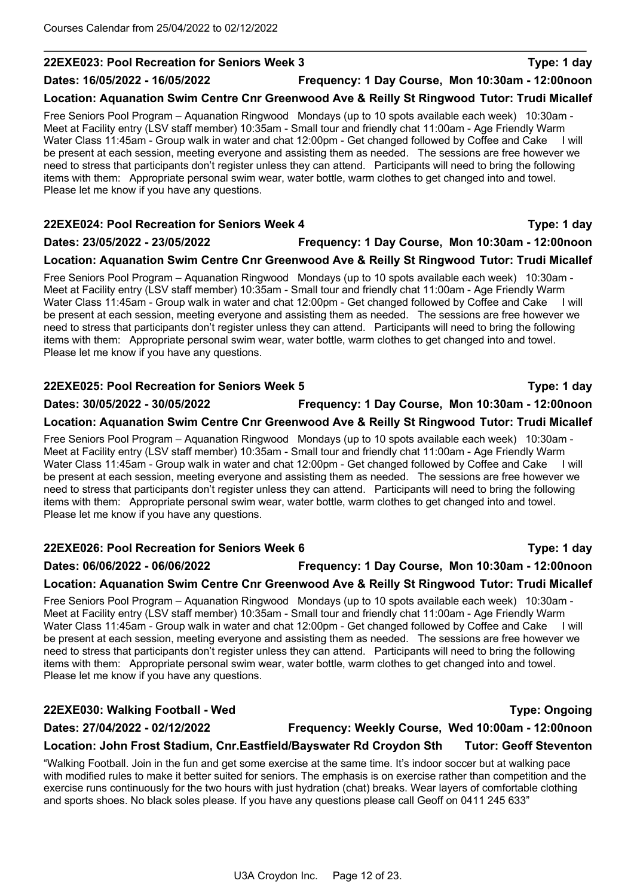#### **22EXE023: Pool Recreation for Seniors Week 3 Type: 1 day**

#### **Dates: 16/05/2022 - 16/05/2022 Frequency: 1 Day Course, Mon 10:30am - 12:00noon**

### **Location: Aquanation Swim Centre Cnr Greenwood Ave & Reilly St Ringwood Tutor: Trudi Micallef**

Free Seniors Pool Program – Aquanation Ringwood Mondays (up to 10 spots available each week) 10:30am - Meet at Facility entry (LSV staff member) 10:35am - Small tour and friendly chat 11:00am - Age Friendly Warm Water Class 11:45am - Group walk in water and chat 12:00pm - Get changed followed by Coffee and Cake I will be present at each session, meeting everyone and assisting them as needed. The sessions are free however we need to stress that participants don't register unless they can attend. Participants will need to bring the following items with them: Appropriate personal swim wear, water bottle, warm clothes to get changed into and towel. Please let me know if you have any questions.

# **22EXE024: Pool Recreation for Seniors Week 4 Type: 1 day Dates: 23/05/2022 - 23/05/2022 Frequency: 1 Day Course, Mon 10:30am - 12:00noon**

#### **Location: Aquanation Swim Centre Cnr Greenwood Ave & Reilly St Ringwood Tutor: Trudi Micallef**

Free Seniors Pool Program – Aquanation Ringwood Mondays (up to 10 spots available each week) 10:30am - Meet at Facility entry (LSV staff member) 10:35am - Small tour and friendly chat 11:00am - Age Friendly Warm Water Class 11:45am - Group walk in water and chat 12:00pm - Get changed followed by Coffee and Cake I will be present at each session, meeting everyone and assisting them as needed. The sessions are free however we need to stress that participants don't register unless they can attend. Participants will need to bring the following items with them: Appropriate personal swim wear, water bottle, warm clothes to get changed into and towel. Please let me know if you have any questions.

#### **22EXE025: Pool Recreation for Seniors Week 5 Type: 1 day**

### **Dates: 30/05/2022 - 30/05/2022 Frequency: 1 Day Course, Mon 10:30am - 12:00noon**

#### **Location: Aquanation Swim Centre Cnr Greenwood Ave & Reilly St Ringwood Tutor: Trudi Micallef**

Free Seniors Pool Program – Aquanation Ringwood Mondays (up to 10 spots available each week) 10:30am - Meet at Facility entry (LSV staff member) 10:35am - Small tour and friendly chat 11:00am - Age Friendly Warm Water Class 11:45am - Group walk in water and chat 12:00pm - Get changed followed by Coffee and Cake I will be present at each session, meeting everyone and assisting them as needed. The sessions are free however we need to stress that participants don't register unless they can attend. Participants will need to bring the following items with them: Appropriate personal swim wear, water bottle, warm clothes to get changed into and towel. Please let me know if you have any questions.

#### **22EXE026: Pool Recreation for Seniors Week 6 Type: 1 day**

#### **Dates: 06/06/2022 - 06/06/2022 Frequency: 1 Day Course, Mon 10:30am - 12:00noon**

### **Location: Aquanation Swim Centre Cnr Greenwood Ave & Reilly St Ringwood Tutor: Trudi Micallef**

Free Seniors Pool Program – Aquanation Ringwood Mondays (up to 10 spots available each week) 10:30am - Meet at Facility entry (LSV staff member) 10:35am - Small tour and friendly chat 11:00am - Age Friendly Warm Water Class 11:45am - Group walk in water and chat 12:00pm - Get changed followed by Coffee and Cake I will be present at each session, meeting everyone and assisting them as needed. The sessions are free however we need to stress that participants don't register unless they can attend. Participants will need to bring the following items with them: Appropriate personal swim wear, water bottle, warm clothes to get changed into and towel. Please let me know if you have any questions.

#### **22EXE030: Walking Football - Wed Type: Ongoing**

#### **Dates: 27/04/2022 - 02/12/2022 Frequency: Weekly Course, Wed 10:00am - 12:00noon**

**Location: John Frost Stadium, Cnr.Eastfield/Bayswater Rd Croydon Sth Tutor: Geoff Steventon** "Walking Football. Join in the fun and get some exercise at the same time. It's indoor soccer but at walking pace

with modified rules to make it better suited for seniors. The emphasis is on exercise rather than competition and the exercise runs continuously for the two hours with just hydration (chat) breaks. Wear layers of comfortable clothing and sports shoes. No black soles please. If you have any questions please call Geoff on 0411 245 633"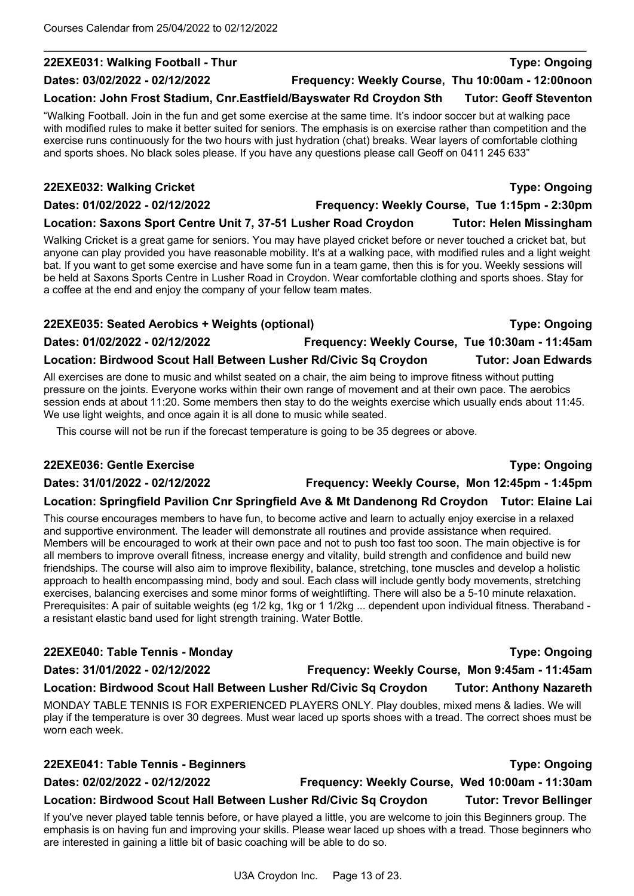#### **22EXE031: Walking Football - Thur Type: Ongoing**

#### **Dates: 03/02/2022 - 02/12/2022 Frequency: Weekly Course, Thu 10:00am - 12:00noon**

**Location: John Frost Stadium, Cnr.Eastfield/Bayswater Rd Croydon Sth Tutor: Geoff Steventon**

"Walking Football. Join in the fun and get some exercise at the same time. It's indoor soccer but at walking pace with modified rules to make it better suited for seniors. The emphasis is on exercise rather than competition and the exercise runs continuously for the two hours with just hydration (chat) breaks. Wear layers of comfortable clothing and sports shoes. No black soles please. If you have any questions please call Geoff on 0411 245 633"

#### **22EXE032: Walking Cricket Type: Ongoing**

**Dates: 01/02/2022 - 02/12/2022 Frequency: Weekly Course, Tue 1:15pm - 2:30pm**

### **Location: Saxons Sport Centre Unit 7, 37-51 Lusher Road Croydon Tutor: Helen Missingham**

Walking Cricket is a great game for seniors. You may have played cricket before or never touched a cricket bat, but anyone can play provided you have reasonable mobility. It's at a walking pace, with modified rules and a light weight bat. If you want to get some exercise and have some fun in a team game, then this is for you. Weekly sessions will be held at Saxons Sports Centre in Lusher Road in Croydon. Wear comfortable clothing and sports shoes. Stay for a coffee at the end and enjoy the company of your fellow team mates.

#### **22EXE035: Seated Aerobics + Weights (optional) Type: Ongoing**

**Dates: 01/02/2022 - 02/12/2022 Frequency: Weekly Course, Tue 10:30am - 11:45am**

### **Location: Birdwood Scout Hall Between Lusher Rd/Civic Sq Croydon Tutor: Joan Edwards**

All exercises are done to music and whilst seated on a chair, the aim being to improve fitness without putting pressure on the joints. Everyone works within their own range of movement and at their own pace. The aerobics session ends at about 11:20. Some members then stay to do the weights exercise which usually ends about 11:45. We use light weights, and once again it is all done to music while seated.

This course will not be run if the forecast temperature is going to be 35 degrees or above.

#### **22EXE036: Gentle Exercise Type: Ongoing**

**Dates: 31/01/2022 - 02/12/2022 Frequency: Weekly Course, Mon 12:45pm - 1:45pm**

### **Location: Springfield Pavilion Cnr Springfield Ave & Mt Dandenong Rd Croydon Tutor: Elaine Lai**

This course encourages members to have fun, to become active and learn to actually enjoy exercise in a relaxed and supportive environment. The leader will demonstrate all routines and provide assistance when required. Members will be encouraged to work at their own pace and not to push too fast too soon. The main objective is for all members to improve overall fitness, increase energy and vitality, build strength and confidence and build new friendships. The course will also aim to improve flexibility, balance, stretching, tone muscles and develop a holistic approach to health encompassing mind, body and soul. Each class will include gently body movements, stretching exercises, balancing exercises and some minor forms of weightlifting. There will also be a 5-10 minute relaxation. Prerequisites: A pair of suitable weights (eg 1/2 kg, 1kg or 1 1/2kg ... dependent upon individual fitness. Theraband a resistant elastic band used for light strength training. Water Bottle.

#### **22EXE040: Table Tennis - Monday Type: Ongoing**

#### **Dates: 31/01/2022 - 02/12/2022 Frequency: Weekly Course, Mon 9:45am - 11:45am**

### **Location: Birdwood Scout Hall Between Lusher Rd/Civic Sq Croydon Tutor: Anthony Nazareth**

MONDAY TABLE TENNIS IS FOR EXPERIENCED PLAYERS ONLY. Play doubles, mixed mens & ladies. We will play if the temperature is over 30 degrees. Must wear laced up sports shoes with a tread. The correct shoes must be worn each week.

# **22EXE041: Table Tennis - Beginners Type: Ongoing Dates: 02/02/2022 - 02/12/2022 Frequency: Weekly Course, Wed 10:00am - 11:30am**

### **Location: Birdwood Scout Hall Between Lusher Rd/Civic Sq Croydon Tutor: Trevor Bellinger**

If you've never played table tennis before, or have played a little, you are welcome to join this Beginners group. The emphasis is on having fun and improving your skills. Please wear laced up shoes with a tread. Those beginners who are interested in gaining a little bit of basic coaching will be able to do so.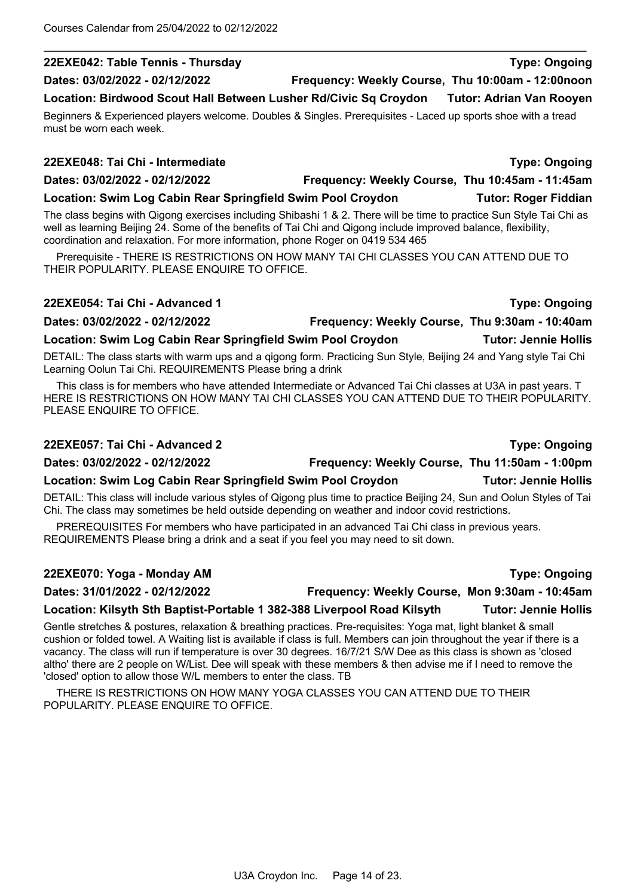# **22EXE042: Table Tennis - Thursday Type: Ongoing**

**Dates: 03/02/2022 - 02/12/2022 Frequency: Weekly Course, Thu 10:00am - 12:00noon**

**Location: Birdwood Scout Hall Between Lusher Rd/Civic Sq Croydon Tutor: Adrian Van Rooyen**

Beginners & Experienced players welcome. Doubles & Singles. Prerequisites - Laced up sports shoe with a tread must be worn each week.

#### **22EXE048: Tai Chi - Intermediate Type: Ongoing**

**Dates: 03/02/2022 - 02/12/2022 Frequency: Weekly Course, Thu 10:45am - 11:45am**

**Location: Swim Log Cabin Rear Springfield Swim Pool Croydon Tutor: Roger Fiddian**

The class begins with Qigong exercises including Shibashi 1 & 2. There will be time to practice Sun Style Tai Chi as well as learning Beijing 24. Some of the benefits of Tai Chi and Qigong include improved balance, flexibility, coordination and relaxation. For more information, phone Roger on 0419 534 465

Prerequisite - THERE IS RESTRICTIONS ON HOW MANY TAI CHI CLASSES YOU CAN ATTEND DUE TO THEIR POPULARITY. PLEASE ENQUIRE TO OFFICE.

#### **22EXE054: Tai Chi - Advanced 1 Type: Ongoing**

**Dates: 03/02/2022 - 02/12/2022 Frequency: Weekly Course, Thu 9:30am - 10:40am**

## **Location: Swim Log Cabin Rear Springfield Swim Pool Croydon Tutor: Jennie Hollis**

DETAIL: The class starts with warm ups and a qigong form. Practicing Sun Style, Beijing 24 and Yang style Tai Chi Learning Oolun Tai Chi. REQUIREMENTS Please bring a drink

This class is for members who have attended Intermediate or Advanced Tai Chi classes at U3A in past years. T HERE IS RESTRICTIONS ON HOW MANY TAI CHI CLASSES YOU CAN ATTEND DUE TO THEIR POPULARITY. PLEASE ENQUIRE TO OFFICE.

#### **22EXE057: Tai Chi - Advanced 2 Type: Ongoing**

**Dates: 03/02/2022 - 02/12/2022 Frequency: Weekly Course, Thu 11:50am - 1:00pm**

### **Location: Swim Log Cabin Rear Springfield Swim Pool Croydon Tutor: Jennie Hollis**

DETAIL: This class will include various styles of Qigong plus time to practice Beijing 24, Sun and Oolun Styles of Tai Chi. The class may sometimes be held outside depending on weather and indoor covid restrictions.

PREREQUISITES For members who have participated in an advanced Tai Chi class in previous years. REQUIREMENTS Please bring a drink and a seat if you feel you may need to sit down.

#### **22EXE070: Yoga - Monday AM Type: Ongoing**

**Dates: 31/01/2022 - 02/12/2022 Frequency: Weekly Course, Mon 9:30am - 10:45am**

# **Location: Kilsyth Sth Baptist-Portable 1 382-388 Liverpool Road Kilsyth Tutor: Jennie Hollis**

Gentle stretches & postures, relaxation & breathing practices. Pre-requisites: Yoga mat, light blanket & small cushion or folded towel. A Waiting list is available if class is full. Members can join throughout the year if there is a vacancy. The class will run if temperature is over 30 degrees. 16/7/21 S/W Dee as this class is shown as 'closed altho' there are 2 people on W/List. Dee will speak with these members & then advise me if I need to remove the 'closed' option to allow those W/L members to enter the class. TB

THERE IS RESTRICTIONS ON HOW MANY YOGA CLASSES YOU CAN ATTEND DUE TO THEIR POPULARITY. PLEASE ENQUIRE TO OFFICE.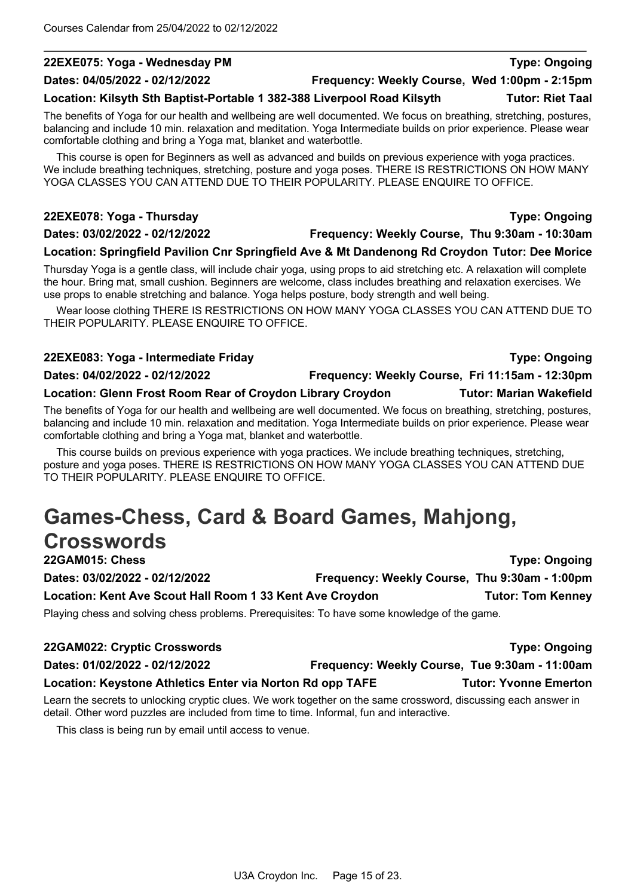#### **22EXE075: Yoga - Wednesday PM Type: Ongoing**

#### **Dates: 04/05/2022 - 02/12/2022 Frequency: Weekly Course, Wed 1:00pm - 2:15pm**

#### **Location: Kilsyth Sth Baptist-Portable 1 382-388 Liverpool Road Kilsyth Tutor: Riet Taal**

The benefits of Yoga for our health and wellbeing are well documented. We focus on breathing, stretching, postures, balancing and include 10 min. relaxation and meditation. Yoga Intermediate builds on prior experience. Please wear comfortable clothing and bring a Yoga mat, blanket and waterbottle.

This course is open for Beginners as well as advanced and builds on previous experience with yoga practices. We include breathing techniques, stretching, posture and yoga poses. THERE IS RESTRICTIONS ON HOW MANY YOGA CLASSES YOU CAN ATTEND DUE TO THEIR POPULARITY. PLEASE ENQUIRE TO OFFICE.

#### **22EXE078: Yoga - Thursday Type: Ongoing**

#### **Dates: 03/02/2022 - 02/12/2022 Frequency: Weekly Course, Thu 9:30am - 10:30am**

#### **Location: Springfield Pavilion Cnr Springfield Ave & Mt Dandenong Rd Croydon Tutor: Dee Morice**

Thursday Yoga is a gentle class, will include chair yoga, using props to aid stretching etc. A relaxation will complete the hour. Bring mat, small cushion. Beginners are welcome, class includes breathing and relaxation exercises. We use props to enable stretching and balance. Yoga helps posture, body strength and well being.

Wear loose clothing THERE IS RESTRICTIONS ON HOW MANY YOGA CLASSES YOU CAN ATTEND DUE TO THEIR POPULARITY. PLEASE ENQUIRE TO OFFICE.

## **22EXE083: Yoga - Intermediate Friday Type: Ongoing Dates: 04/02/2022 - 02/12/2022 Frequency: Weekly Course, Fri 11:15am - 12:30pm Location: Glenn Frost Room Rear of Croydon Library Croydon Tutor: Marian Wakefield**

The benefits of Yoga for our health and wellbeing are well documented. We focus on breathing, stretching, postures, balancing and include 10 min. relaxation and meditation. Yoga Intermediate builds on prior experience. Please wear comfortable clothing and bring a Yoga mat, blanket and waterbottle.

This course builds on previous experience with yoga practices. We include breathing techniques, stretching, posture and yoga poses. THERE IS RESTRICTIONS ON HOW MANY YOGA CLASSES YOU CAN ATTEND DUE TO THEIR POPULARITY. PLEASE ENQUIRE TO OFFICE.

# **Games-Chess, Card & Board Games, Mahjong, Crosswords**

**22GAM015: Chess Type: Ongoing Dates: 03/02/2022 - 02/12/2022 Frequency: Weekly Course, Thu 9:30am - 1:00pm Location: Kent Ave Scout Hall Room 1 33 Kent Ave Croydon Tutor: Tom Kenney**

Playing chess and solving chess problems. Prerequisites: To have some knowledge of the game.

| 22GAM022: Cryptic Crosswords                                                                                                        | <b>Type: Ongoing</b>                           |
|-------------------------------------------------------------------------------------------------------------------------------------|------------------------------------------------|
| Dates: 01/02/2022 - 02/12/2022                                                                                                      | Frequency: Weekly Course, Tue 9:30am - 11:00am |
| Location: Keystone Athletics Enter via Norton Rd opp TAFE                                                                           | <b>Tutor: Yvonne Emerton</b>                   |
| The conflict of the control of the conflict of MIC and The cities of the component of control of the conflict of the control of the |                                                |

Learn the secrets to unlocking cryptic clues. We work together on the same crossword, discussing each answer in detail. Other word puzzles are included from time to time. Informal, fun and interactive.

This class is being run by email until access to venue.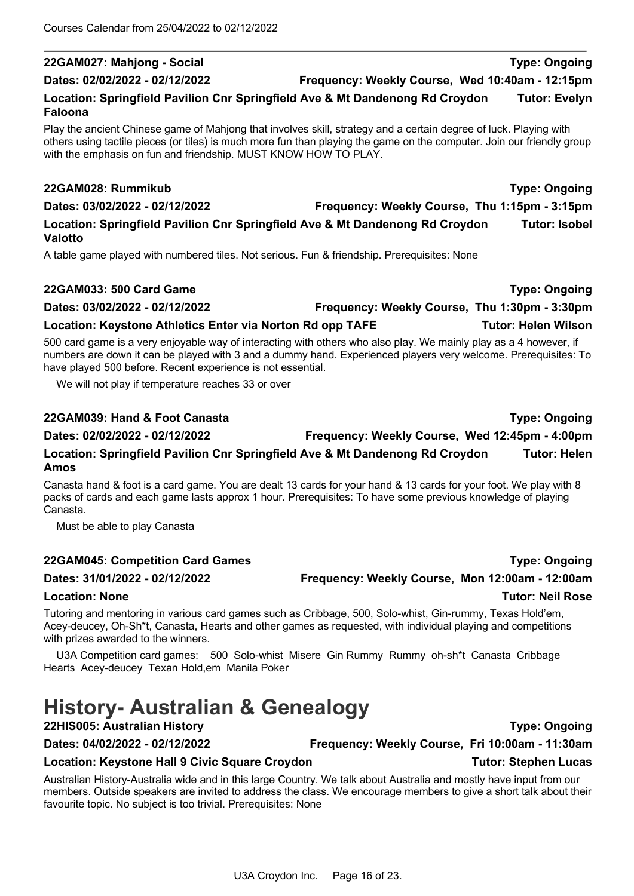#### **22GAM027: Mahjong - Social Type: Ongoing**

#### **Dates: 02/02/2022 - 02/12/2022 Frequency: Weekly Course, Wed 10:40am - 12:15pm**

**Location: Springfield Pavilion Cnr Springfield Ave & Mt Dandenong Rd Croydon Tutor: Evelyn Faloona**

Play the ancient Chinese game of Mahjong that involves skill, strategy and a certain degree of luck. Playing with others using tactile pieces (or tiles) is much more fun than playing the game on the computer. Join our friendly group with the emphasis on fun and friendship. MUST KNOW HOW TO PLAY.

#### **22GAM028: Rummikub Type: Ongoing**

**Valotto**

**Dates: 03/02/2022 - 02/12/2022 Frequency: Weekly Course, Thu 1:15pm - 3:15pm Location: Springfield Pavilion Cnr Springfield Ave & Mt Dandenong Rd Croydon Tutor: Isobel** 

A table game played with numbered tiles. Not serious. Fun & friendship. Prerequisites: None

#### **22GAM033: 500 Card Game Type: Ongoing**

**Dates: 03/02/2022 - 02/12/2022 Frequency: Weekly Course, Thu 1:30pm - 3:30pm**

### **Location: Keystone Athletics Enter via Norton Rd opp TAFE Tutor: Helen Wilson**

500 card game is a very enjoyable way of interacting with others who also play. We mainly play as a 4 however, if numbers are down it can be played with 3 and a dummy hand. Experienced players very welcome. Prerequisites: To have played 500 before. Recent experience is not essential.

We will not play if temperature reaches 33 or over

### **22GAM039: Hand & Foot Canasta Type: Ongoing**

**Dates: 02/02/2022 - 02/12/2022 Frequency: Weekly Course, Wed 12:45pm - 4:00pm**

### **Location: Springfield Pavilion Cnr Springfield Ave & Mt Dandenong Rd Croydon Tutor: Helen Amos**

Canasta hand & foot is a card game. You are dealt 13 cards for your hand & 13 cards for your foot. We play with 8 packs of cards and each game lasts approx 1 hour. Prerequisites: To have some previous knowledge of playing Canasta.

Must be able to play Canasta

### **22GAM045: Competition Card Games Type: Ongoing**

**Dates: 31/01/2022 - 02/12/2022 Frequency: Weekly Course, Mon 12:00am - 12:00am**

### **Location: None Tutor: Neil Rose**

Tutoring and mentoring in various card games such as Cribbage, 500, Solo-whist, Gin-rummy, Texas Hold'em, Acey-deucey, Oh-Sh\*t, Canasta, Hearts and other games as requested, with individual playing and competitions with prizes awarded to the winners.

U3A Competition card games: 500 Solo-whist Misere Gin Rummy Rummy oh-sh\*t Canasta Cribbage Hearts Acey-deucey Texan Hold,em Manila Poker

# **History- Australian & Genealogy**

**22HIS005: Australian History Type: Ongoing**

**Dates: 04/02/2022 - 02/12/2022 Frequency: Weekly Course, Fri 10:00am - 11:30am**

### **Location: Keystone Hall 9 Civic Square Croydon Tutor: Stephen Lucas**

Australian History-Australia wide and in this large Country. We talk about Australia and mostly have input from our members. Outside speakers are invited to address the class. We encourage members to give a short talk about their favourite topic. No subject is too trivial. Prerequisites: None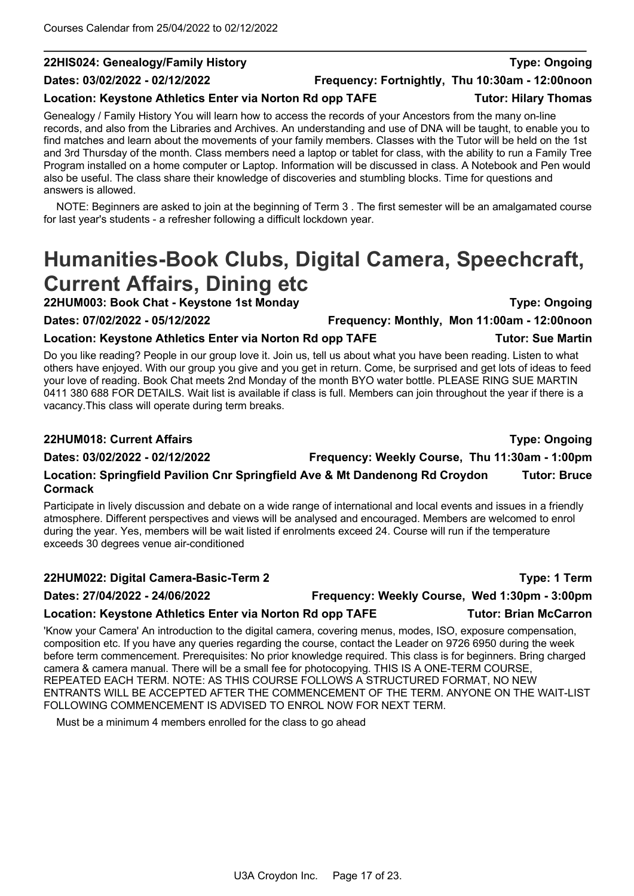#### **22HIS024: Genealogy/Family History Type: Ongoing**

# **Dates: 03/02/2022 - 02/12/2022 Frequency: Fortnightly, Thu 10:30am - 12:00noon**

#### Location: Keystone Athletics Enter via Norton Rd opp TAFE **Tutor: Hilary Thomas**

Genealogy / Family History You will learn how to access the records of your Ancestors from the many on-line records, and also from the Libraries and Archives. An understanding and use of DNA will be taught, to enable you to find matches and learn about the movements of your family members. Classes with the Tutor will be held on the 1st and 3rd Thursday of the month. Class members need a laptop or tablet for class, with the ability to run a Family Tree Program installed on a home computer or Laptop. Information will be discussed in class. A Notebook and Pen would also be useful. The class share their knowledge of discoveries and stumbling blocks. Time for questions and answers is allowed.

NOTE: Beginners are asked to join at the beginning of Term 3 . The first semester will be an amalgamated course for last year's students - a refresher following a difficult lockdown year.

# **Humanities-Book Clubs, Digital Camera, Speechcraft, Current Affairs, Dining etc**

**22HUM003: Book Chat - Keystone 1st Monday Type: Ongoing**

**Dates: 07/02/2022 - 05/12/2022 Frequency: Monthly, Mon 11:00am - 12:00noon**

### **Location: Keystone Athletics Enter via Norton Rd opp TAFE Tutor: Sue Martin**

Do you like reading? People in our group love it. Join us, tell us about what you have been reading. Listen to what others have enjoyed. With our group you give and you get in return. Come, be surprised and get lots of ideas to feed your love of reading. Book Chat meets 2nd Monday of the month BYO water bottle. PLEASE RING SUE MARTIN 0411 380 688 FOR DETAILS. Wait list is available if class is full. Members can join throughout the year if there is a vacancy.This class will operate during term breaks.

#### **22HUM018: Current Affairs Type: Ongoing**

**Dates: 03/02/2022 - 02/12/2022 Frequency: Weekly Course, Thu 11:30am - 1:00pm**

#### **Location: Springfield Pavilion Cnr Springfield Ave & Mt Dandenong Rd Croydon Tutor: Bruce Cormack**

Participate in lively discussion and debate on a wide range of international and local events and issues in a friendly atmosphere. Different perspectives and views will be analysed and encouraged. Members are welcomed to enrol during the year. Yes, members will be wait listed if enrolments exceed 24. Course will run if the temperature exceeds 30 degrees venue air-conditioned

#### **22HUM022: Digital Camera-Basic-Term 2 Type: 1 Term**

**Dates: 27/04/2022 - 24/06/2022 Frequency: Weekly Course, Wed 1:30pm - 3:00pm**

### **Location: Keystone Athletics Enter via Norton Rd opp TAFE Tutor: Brian McCarron**

'Know your Camera' An introduction to the digital camera, covering menus, modes, ISO, exposure compensation, composition etc. If you have any queries regarding the course, contact the Leader on 9726 6950 during the week before term commencement. Prerequisites: No prior knowledge required. This class is for beginners. Bring charged camera & camera manual. There will be a small fee for photocopying. THIS IS A ONE-TERM COURSE, REPEATED EACH TERM. NOTE: AS THIS COURSE FOLLOWS A STRUCTURED FORMAT, NO NEW ENTRANTS WILL BE ACCEPTED AFTER THE COMMENCEMENT OF THE TERM. ANYONE ON THE WAIT-LIST FOLLOWING COMMENCEMENT IS ADVISED TO ENROL NOW FOR NEXT TERM.

Must be a minimum 4 members enrolled for the class to go ahead

U3A Croydon Inc. Page 17 of 23.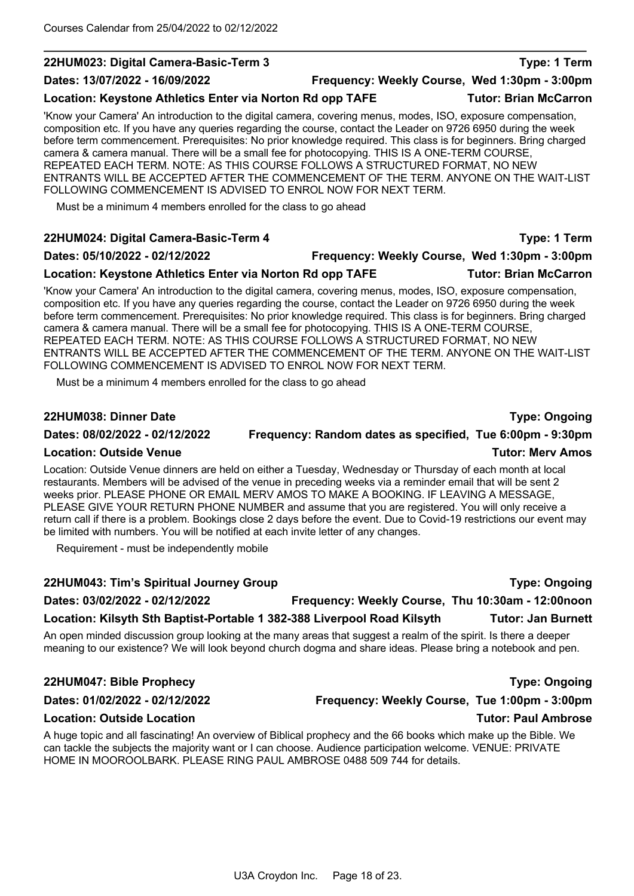#### **22HUM023: Digital Camera-Basic-Term 3 Type: 1 Term**

#### Location: Keystone Athletics Enter via Norton Rd opp TAFE **Tutor: Brian McCarron**

'Know your Camera' An introduction to the digital camera, covering menus, modes, ISO, exposure compensation, composition etc. If you have any queries regarding the course, contact the Leader on 9726 6950 during the week before term commencement. Prerequisites: No prior knowledge required. This class is for beginners. Bring charged camera & camera manual. There will be a small fee for photocopying. THIS IS A ONE-TERM COURSE, REPEATED EACH TERM. NOTE: AS THIS COURSE FOLLOWS A STRUCTURED FORMAT, NO NEW ENTRANTS WILL BE ACCEPTED AFTER THE COMMENCEMENT OF THE TERM. ANYONE ON THE WAIT-LIST FOLLOWING COMMENCEMENT IS ADVISED TO ENROL NOW FOR NEXT TERM.

Must be a minimum 4 members enrolled for the class to go ahead

#### **22HUM024: Digital Camera-Basic-Term 4 Type: 1 Term**

#### **Dates: 05/10/2022 - 02/12/2022 Frequency: Weekly Course, Wed 1:30pm - 3:00pm**

**Location: Keystone Athletics Enter via Norton Rd opp TAFE Tutor: Brian McCarron**

'Know your Camera' An introduction to the digital camera, covering menus, modes, ISO, exposure compensation, composition etc. If you have any queries regarding the course, contact the Leader on 9726 6950 during the week before term commencement. Prerequisites: No prior knowledge required. This class is for beginners. Bring charged camera & camera manual. There will be a small fee for photocopying. THIS IS A ONE-TERM COURSE, REPEATED EACH TERM. NOTE: AS THIS COURSE FOLLOWS A STRUCTURED FORMAT, NO NEW ENTRANTS WILL BE ACCEPTED AFTER THE COMMENCEMENT OF THE TERM. ANYONE ON THE WAIT-LIST FOLLOWING COMMENCEMENT IS ADVISED TO ENROL NOW FOR NEXT TERM.

Must be a minimum 4 members enrolled for the class to go ahead

#### **22HUM038: Dinner Date Type: Ongoing**

#### **Dates: 08/02/2022 - 02/12/2022 Frequency: Random dates as specified, Tue 6:00pm - 9:30pm**

### **Location: Outside Venue Tutor: Merv Amos**

Location: Outside Venue dinners are held on either a Tuesday, Wednesday or Thursday of each month at local restaurants. Members will be advised of the venue in preceding weeks via a reminder email that will be sent 2 weeks prior. PLEASE PHONE OR EMAIL MERV AMOS TO MAKE A BOOKING. IF LEAVING A MESSAGE, PLEASE GIVE YOUR RETURN PHONE NUMBER and assume that you are registered. You will only receive a return call if there is a problem. Bookings close 2 days before the event. Due to Covid-19 restrictions our event may be limited with numbers. You will be notified at each invite letter of any changes.

Requirement - must be independently mobile

### **22HUM043: Tim's Spiritual Journey Group Type: Ongoing**

# **Dates: 03/02/2022 - 02/12/2022 Frequency: Weekly Course, Thu 10:30am - 12:00noon**

### **Location: Kilsyth Sth Baptist-Portable 1 382-388 Liverpool Road Kilsyth Tutor: Jan Burnett**

An open minded discussion group looking at the many areas that suggest a realm of the spirit. Is there a deeper meaning to our existence? We will look beyond church dogma and share ideas. Please bring a notebook and pen.

### **22HUM047: Bible Prophecy Type: Ongoing**

### **Dates: 01/02/2022 - 02/12/2022 Frequency: Weekly Course, Tue 1:00pm - 3:00pm**

### **Location: Outside Location Tutor: Paul Ambrose**

A huge topic and all fascinating! An overview of Biblical prophecy and the 66 books which make up the Bible. We can tackle the subjects the majority want or I can choose. Audience participation welcome. VENUE: PRIVATE HOME IN MOOROOLBARK. PLEASE RING PAUL AMBROSE 0488 509 744 for details.

**Dates: 13/07/2022 - 16/09/2022 Frequency: Weekly Course, Wed 1:30pm - 3:00pm**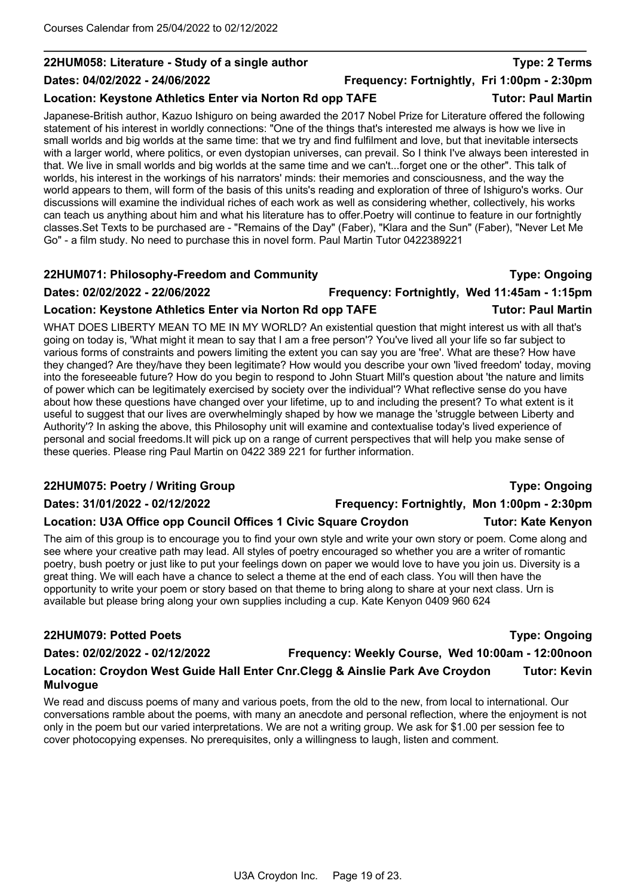### **22HUM058: Literature - Study of a single author Type: 2 Terms**

#### **Dates: 04/02/2022 - 24/06/2022 Frequency: Fortnightly, Fri 1:00pm - 2:30pm**

#### Location: Keystone Athletics Enter via Norton Rd opp TAFE **Tutor: Paul Martin**

Japanese-British author, Kazuo Ishiguro on being awarded the 2017 Nobel Prize for Literature offered the following statement of his interest in worldly connections: "One of the things that's interested me always is how we live in small worlds and big worlds at the same time: that we try and find fulfilment and love, but that inevitable intersects with a larger world, where politics, or even dystopian universes, can prevail. So I think I've always been interested in that. We live in small worlds and big worlds at the same time and we can't...forget one or the other". This talk of worlds, his interest in the workings of his narrators' minds: their memories and consciousness, and the way the world appears to them, will form of the basis of this units's reading and exploration of three of Ishiguro's works. Our discussions will examine the individual riches of each work as well as considering whether, collectively, his works can teach us anything about him and what his literature has to offer.Poetry will continue to feature in our fortnightly classes.Set Texts to be purchased are - "Remains of the Day" (Faber), "Klara and the Sun" (Faber), "Never Let Me Go" - a film study. No need to purchase this in novel form. Paul Martin Tutor 0422389221

#### **22HUM071: Philosophy-Freedom and Community Type: Ongoing**

#### **Dates: 02/02/2022 - 22/06/2022 Frequency: Fortnightly, Wed 11:45am - 1:15pm**

#### **Location: Keystone Athletics Enter via Norton Rd opp TAFE Tutor: Paul Martin**

WHAT DOES LIBERTY MEAN TO ME IN MY WORLD? An existential question that might interest us with all that's going on today is, 'What might it mean to say that I am a free person'? You've lived all your life so far subject to various forms of constraints and powers limiting the extent you can say you are 'free'. What are these? How have they changed? Are they/have they been legitimate? How would you describe your own 'lived freedom' today, moving into the foreseeable future? How do you begin to respond to John Stuart Mill's question about 'the nature and limits of power which can be legitimately exercised by society over the individual'? What reflective sense do you have about how these questions have changed over your lifetime, up to and including the present? To what extent is it useful to suggest that our lives are overwhelmingly shaped by how we manage the 'struggle between Liberty and Authority'? In asking the above, this Philosophy unit will examine and contextualise today's lived experience of personal and social freedoms.It will pick up on a range of current perspectives that will help you make sense of these queries. Please ring Paul Martin on 0422 389 221 for further information.

### **22HUM075: Poetry / Writing Group Type: Ongoing**

### **Location: U3A Office opp Council Offices 1 Civic Square Croydon Tutor: Kate Kenyon**

The aim of this group is to encourage you to find your own style and write your own story or poem. Come along and see where your creative path may lead. All styles of poetry encouraged so whether you are a writer of romantic poetry, bush poetry or just like to put your feelings down on paper we would love to have you join us. Diversity is a great thing. We will each have a chance to select a theme at the end of each class. You will then have the opportunity to write your poem or story based on that theme to bring along to share at your next class. Urn is available but please bring along your own supplies including a cup. Kate Kenyon 0409 960 624

### **22HUM079: Potted Poets Type: Ongoing**

#### **Dates: 02/02/2022 - 02/12/2022 Frequency: Weekly Course, Wed 10:00am - 12:00noon**

### **Location: Croydon West Guide Hall Enter Cnr.Clegg & Ainslie Park Ave Croydon Tutor: Kevin Mulvogue**

We read and discuss poems of many and various poets, from the old to the new, from local to international. Our conversations ramble about the poems, with many an anecdote and personal reflection, where the enjoyment is not only in the poem but our varied interpretations. We are not a writing group. We ask for \$1.00 per session fee to cover photocopying expenses. No prerequisites, only a willingness to laugh, listen and comment.

### **Dates: 31/01/2022 - 02/12/2022 Frequency: Fortnightly, Mon 1:00pm - 2:30pm**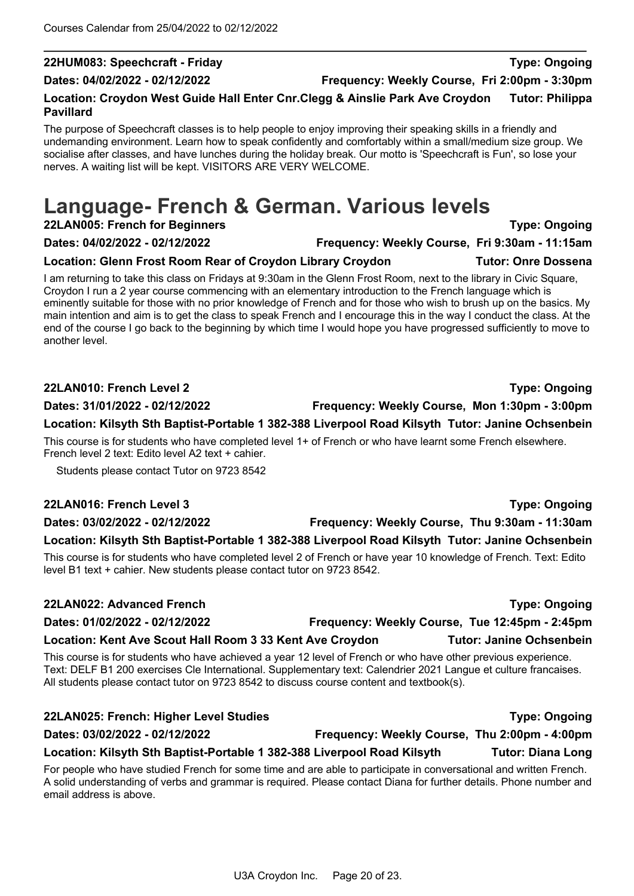### **22HUM083: Speechcraft - Friday Type: Ongoing**

#### **Location: Croydon West Guide Hall Enter Cnr.Clegg & Ainslie Park Ave Croydon Tutor: Philippa Pavillard**

The purpose of Speechcraft classes is to help people to enjoy improving their speaking skills in a friendly and undemanding environment. Learn how to speak confidently and comfortably within a small/medium size group. We socialise after classes, and have lunches during the holiday break. Our motto is 'Speechcraft is Fun', so lose your nerves. A waiting list will be kept. VISITORS ARE VERY WELCOME.

# **Language- French & German. Various levels**

**22LAN005: French for Beginners Type: Ongoing**

#### **Dates: 04/02/2022 - 02/12/2022 Frequency: Weekly Course, Fri 9:30am - 11:15am**

### **Location: Glenn Frost Room Rear of Croydon Library Croydon Tutor: Onre Dossena**

I am returning to take this class on Fridays at 9:30am in the Glenn Frost Room, next to the library in Civic Square, Croydon I run a 2 year course commencing with an elementary introduction to the French language which is eminently suitable for those with no prior knowledge of French and for those who wish to brush up on the basics. My main intention and aim is to get the class to speak French and I encourage this in the way I conduct the class. At the end of the course I go back to the beginning by which time I would hope you have progressed sufficiently to move to another level.

#### **22LAN010: French Level 2 Type: Ongoing**

**Dates: 31/01/2022 - 02/12/2022 Frequency: Weekly Course, Mon 1:30pm - 3:00pm**

**Location: Kilsyth Sth Baptist-Portable 1 382-388 Liverpool Road Kilsyth Tutor: Janine Ochsenbein** This course is for students who have completed level 1+ of French or who have learnt some French elsewhere. French level 2 text: Edito level A2 text + cahier.

Students please contact Tutor on 9723 8542

#### **22LAN016: French Level 3 Type: Ongoing**

### **Dates: 03/02/2022 - 02/12/2022 Frequency: Weekly Course, Thu 9:30am - 11:30am**

### **Location: Kilsyth Sth Baptist-Portable 1 382-388 Liverpool Road Kilsyth Tutor: Janine Ochsenbein**

This course is for students who have completed level 2 of French or have year 10 knowledge of French. Text: Edito level B1 text + cahier. New students please contact tutor on 9723 8542.

## **22LAN022: Advanced French Type: Ongoing Dates: 01/02/2022 - 02/12/2022 Frequency: Weekly Course, Tue 12:45pm - 2:45pm Location: Kent Ave Scout Hall Room 3 33 Kent Ave Croydon Tutor: Janine Ochsenbein**

This course is for students who have achieved a year 12 level of French or who have other previous experience. Text: DELF B1 200 exercises Cle International. Supplementary text: Calendrier 2021 Langue et culture francaises. All students please contact tutor on 9723 8542 to discuss course content and textbook(s).

#### **22LAN025: French: Higher Level Studies Type: Ongoing**

# **Dates: 03/02/2022 - 02/12/2022 Frequency: Weekly Course, Thu 2:00pm - 4:00pm**

**Location: Kilsyth Sth Baptist-Portable 1 382-388 Liverpool Road Kilsyth Tutor: Diana Long** For people who have studied French for some time and are able to participate in conversational and written French.

A solid understanding of verbs and grammar is required. Please contact Diana for further details. Phone number and email address is above.

**Dates: 04/02/2022 - 02/12/2022 Frequency: Weekly Course, Fri 2:00pm - 3:30pm**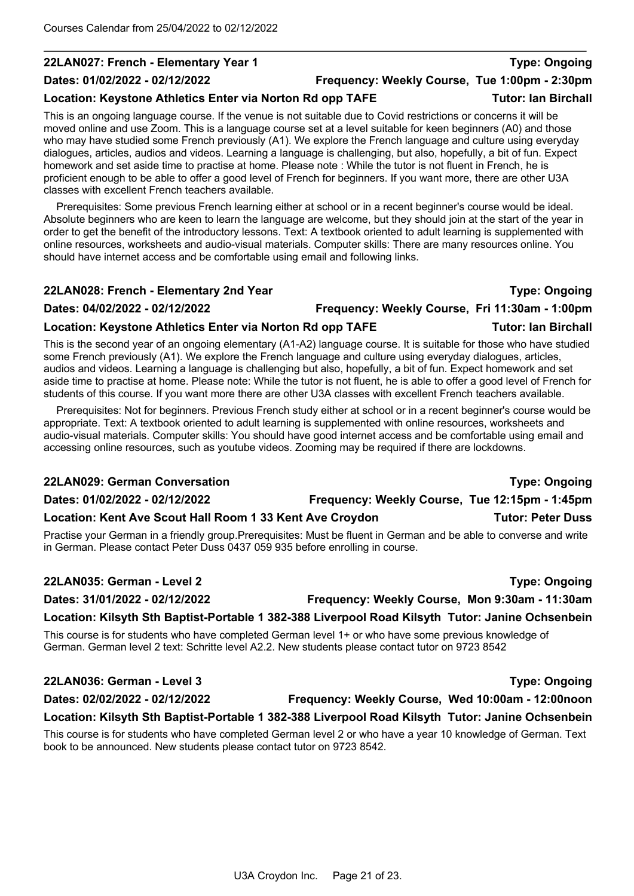#### **22LAN027: French - Elementary Year 1 Type: Ongoing**

#### **Dates: 01/02/2022 - 02/12/2022 Frequency: Weekly Course, Tue 1:00pm - 2:30pm**

#### Location: Keystone Athletics Enter via Norton Rd opp TAFE **Tutor: Ian Birchall**

This is an ongoing language course. If the venue is not suitable due to Covid restrictions or concerns it will be moved online and use Zoom. This is a language course set at a level suitable for keen beginners (A0) and those who may have studied some French previously (A1). We explore the French language and culture using everyday dialogues, articles, audios and videos. Learning a language is challenging, but also, hopefully, a bit of fun. Expect homework and set aside time to practise at home. Please note : While the tutor is not fluent in French, he is proficient enough to be able to offer a good level of French for beginners. If you want more, there are other U3A classes with excellent French teachers available.

Prerequisites: Some previous French learning either at school or in a recent beginner's course would be ideal. Absolute beginners who are keen to learn the language are welcome, but they should join at the start of the year in order to get the benefit of the introductory lessons. Text: A textbook oriented to adult learning is supplemented with online resources, worksheets and audio-visual materials. Computer skills: There are many resources online. You should have internet access and be comfortable using email and following links.

# **22LAN028: French - Elementary 2nd Year Type: Ongoing Dates: 04/02/2022 - 02/12/2022 Frequency: Weekly Course, Fri 11:30am - 1:00pm**

#### Location: Keystone Athletics Enter via Norton Rd opp TAFE **Tutor: Ian Birchall**

This is the second year of an ongoing elementary (A1-A2) language course. It is suitable for those who have studied some French previously (A1). We explore the French language and culture using everyday dialogues, articles, audios and videos. Learning a language is challenging but also, hopefully, a bit of fun. Expect homework and set aside time to practise at home. Please note: While the tutor is not fluent, he is able to offer a good level of French for students of this course. If you want more there are other U3A classes with excellent French teachers available.

Prerequisites: Not for beginners. Previous French study either at school or in a recent beginner's course would be appropriate. Text: A textbook oriented to adult learning is supplemented with online resources, worksheets and audio-visual materials. Computer skills: You should have good internet access and be comfortable using email and accessing online resources, such as youtube videos. Zooming may be required if there are lockdowns.

# **22LAN029: German Conversation Type: Ongoing Dates: 01/02/2022 - 02/12/2022 Frequency: Weekly Course, Tue 12:15pm - 1:45pm** Location: Kent Ave Scout Hall Room 1 33 Kent Ave Croydon **Tutor: Peter Duss**

Practise your German in a friendly group.Prerequisites: Must be fluent in German and be able to converse and write in German. Please contact Peter Duss 0437 059 935 before enrolling in course.

#### **22LAN035: German - Level 2 Type: Ongoing**

**Dates: 31/01/2022 - 02/12/2022 Frequency: Weekly Course, Mon 9:30am - 11:30am**

### **Location: Kilsyth Sth Baptist-Portable 1 382-388 Liverpool Road Kilsyth Tutor: Janine Ochsenbein**

This course is for students who have completed German level 1+ or who have some previous knowledge of German. German level 2 text: Schritte level A2.2. New students please contact tutor on 9723 8542

#### **22LAN036: German - Level 3 Type: Ongoing**

# **Dates: 02/02/2022 - 02/12/2022 Frequency: Weekly Course, Wed 10:00am - 12:00noon**

### **Location: Kilsyth Sth Baptist-Portable 1 382-388 Liverpool Road Kilsyth Tutor: Janine Ochsenbein**

This course is for students who have completed German level 2 or who have a year 10 knowledge of German. Text book to be announced. New students please contact tutor on 9723 8542.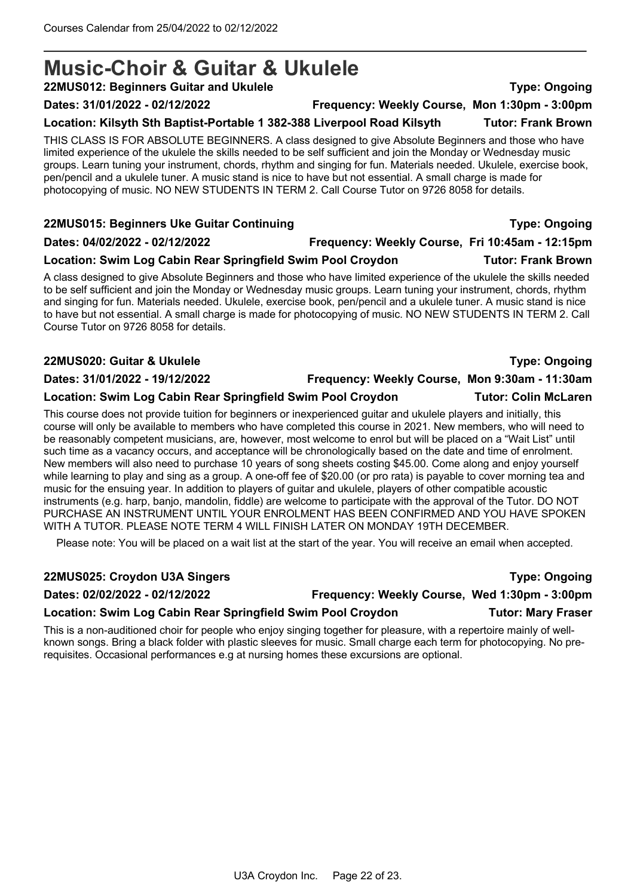# **Music-Choir & Guitar & Ukulele**

**22MUS012: Beginners Guitar and Ukulele Type: Ongoing**

**Dates: 31/01/2022 - 02/12/2022 Frequency: Weekly Course, Mon 1:30pm - 3:00pm**

#### **Location: Kilsyth Sth Baptist-Portable 1 382-388 Liverpool Road Kilsyth Tutor: Frank Brown**

THIS CLASS IS FOR ABSOLUTE BEGINNERS. A class designed to give Absolute Beginners and those who have limited experience of the ukulele the skills needed to be self sufficient and join the Monday or Wednesday music groups. Learn tuning your instrument, chords, rhythm and singing for fun. Materials needed. Ukulele, exercise book, pen/pencil and a ukulele tuner. A music stand is nice to have but not essential. A small charge is made for photocopying of music. NO NEW STUDENTS IN TERM 2. Call Course Tutor on 9726 8058 for details.

#### **22MUS015: Beginners Uke Guitar Continuing Type: Ongoing**

### **Dates: 04/02/2022 - 02/12/2022 Frequency: Weekly Course, Fri 10:45am - 12:15pm**

### **Location: Swim Log Cabin Rear Springfield Swim Pool Croydon Tutor: Frank Brown**

A class designed to give Absolute Beginners and those who have limited experience of the ukulele the skills needed to be self sufficient and join the Monday or Wednesday music groups. Learn tuning your instrument, chords, rhythm and singing for fun. Materials needed. Ukulele, exercise book, pen/pencil and a ukulele tuner. A music stand is nice to have but not essential. A small charge is made for photocopying of music. NO NEW STUDENTS IN TERM 2. Call Course Tutor on 9726 8058 for details.

#### **22MUS020: Guitar & Ukulele Type: Ongoing**

#### **Dates: 31/01/2022 - 19/12/2022 Frequency: Weekly Course, Mon 9:30am - 11:30am**

#### **Location: Swim Log Cabin Rear Springfield Swim Pool Croydon Tutor: Colin McLaren**

This course does not provide tuition for beginners or inexperienced guitar and ukulele players and initially, this course will only be available to members who have completed this course in 2021. New members, who will need to be reasonably competent musicians, are, however, most welcome to enrol but will be placed on a "Wait List" until such time as a vacancy occurs, and acceptance will be chronologically based on the date and time of enrolment. New members will also need to purchase 10 years of song sheets costing \$45.00. Come along and enjoy yourself while learning to play and sing as a group. A one-off fee of \$20.00 (or pro rata) is payable to cover morning tea and music for the ensuing year. In addition to players of guitar and ukulele, players of other compatible acoustic instruments (e.g. harp, banjo, mandolin, fiddle) are welcome to participate with the approval of the Tutor. DO NOT PURCHASE AN INSTRUMENT UNTIL YOUR ENROLMENT HAS BEEN CONFIRMED AND YOU HAVE SPOKEN WITH A TUTOR. PLEASE NOTE TERM 4 WILL FINISH LATER ON MONDAY 19TH DECEMBER.

Please note: You will be placed on a wait list at the start of the year. You will receive an email when accepted.

### **22MUS025: Croydon U3A Singers Type: Ongoing**

**Dates: 02/02/2022 - 02/12/2022 Frequency: Weekly Course, Wed 1:30pm - 3:00pm**

# **Location: Swim Log Cabin Rear Springfield Swim Pool Croydon Tutor: Mary Fraser**

This is a non-auditioned choir for people who enjoy singing together for pleasure, with a repertoire mainly of wellknown songs. Bring a black folder with plastic sleeves for music. Small charge each term for photocopying. No prerequisites. Occasional performances e.g at nursing homes these excursions are optional.